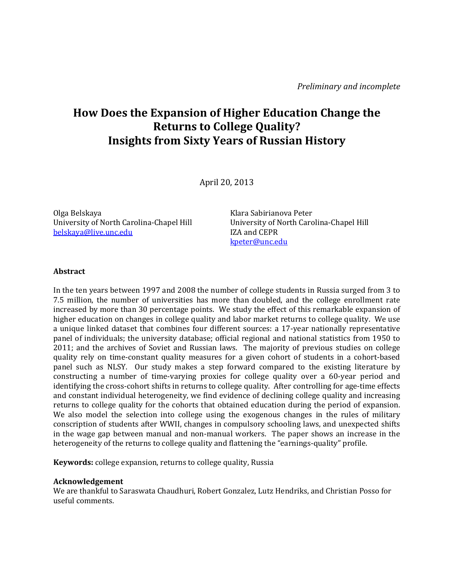# **How Does the Expansion of Higher Education Change the Returns to College Quality? Insights from Sixty Years of Russian History**

April 20, 2013 

Olga Belskaya University of North Carolina‐Chapel Hill belskaya@live.unc.edu 

Klara Sabirianova Peter University of North Carolina‐Chapel Hill IZA and CEPR kpeter@unc.edu

### **Abstract**

In the ten years between 1997 and 2008 the number of college students in Russia surged from 3 to 7.5 million, the number of universities has more than doubled, and the college enrollment rate increased by more than 30 percentage points. We study the effect of this remarkable expansion of higher education on changes in college quality and labor market returns to college quality. We use a unique linked dataset that combines four different sources: a 17-year nationally representative panel of individuals; the university database; official regional and national statistics from 1950 to  $2011$ ; and the archives of Soviet and Russian laws. The majority of previous studies on college quality rely on time-constant quality measures for a given cohort of students in a cohort-based panel such as NLSY. Our study makes a step forward compared to the existing literature by constructing a number of time-varying proxies for college quality over a  $60$ -year period and identifying the cross-cohort shifts in returns to college quality. After controlling for age-time effects and constant individual heterogeneity, we find evidence of declining college quality and increasing returns to college quality for the cohorts that obtained education during the period of expansion. We also model the selection into college using the exogenous changes in the rules of military conscription of students after WWII, changes in compulsory schooling laws, and unexpected shifts in the wage gap between manual and non-manual workers. The paper shows an increase in the heterogeneity of the returns to college quality and flattening the "earnings-quality" profile.

**Keywords:** college expansion, returns to college quality, Russia

### **Acknowledgement**

We are thankful to Saraswata Chaudhuri, Robert Gonzalez, Lutz Hendriks, and Christian Posso for useful comments.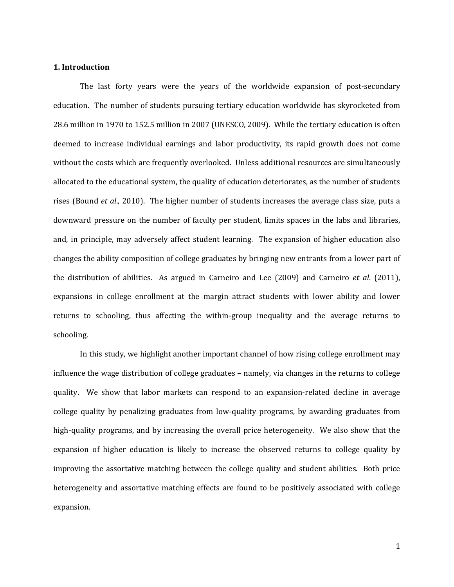### **1. Introduction**

The last forty years were the years of the worldwide expansion of post-secondary education. The number of students pursuing tertiary education worldwide has skyrocketed from 28.6 million in 1970 to 152.5 million in 2007 (UNESCO, 2009). While the tertiary education is often deemed to increase individual earnings and labor productivity, its rapid growth does not come without the costs which are frequently overlooked. Unless additional resources are simultaneously allocated to the educational system, the quality of education deteriorates, as the number of students rises (Bound *et al.*, 2010). The higher number of students increases the average class size, puts a downward pressure on the number of faculty per student, limits spaces in the labs and libraries, and, in principle, may adversely affect student learning. The expansion of higher education also changes the ability composition of college graduates by bringing new entrants from a lower part of the distribution of abilities. As argued in Carneiro and Lee (2009) and Carneiro *et al.* (2011), expansions in college enrollment at the margin attract students with lower ability and lower returns to schooling, thus affecting the within-group inequality and the average returns to schooling. 

In this study, we highlight another important channel of how rising college enrollment may influence the wage distribution of college graduates – namely, via changes in the returns to college quality. We show that labor markets can respond to an expansion-related decline in average college quality by penalizing graduates from low-quality programs, by awarding graduates from high-quality programs, and by increasing the overall price heterogeneity. We also show that the expansion of higher education is likely to increase the observed returns to college quality by improving the assortative matching between the college quality and student abilities. Both price heterogeneity and assortative matching effects are found to be positively associated with college expansion.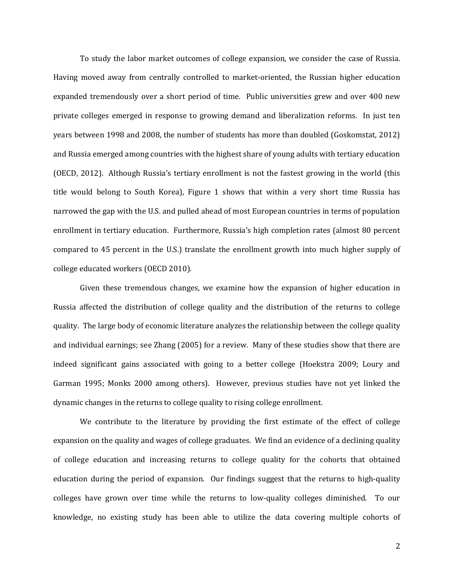To study the labor market outcomes of college expansion, we consider the case of Russia. Having moved away from centrally controlled to market-oriented, the Russian higher education expanded tremendously over a short period of time. Public universities grew and over 400 new private colleges emerged in response to growing demand and liberalization reforms. In just ten years between 1998 and 2008, the number of students has more than doubled (Goskomstat, 2012) and Russia emerged among countries with the highest share of young adults with tertiary education (OECD, 2012). Although Russia's tertiary enrollment is not the fastest growing in the world (this title would belong to South Korea), Figure 1 shows that within a very short time Russia has narrowed the gap with the U.S. and pulled ahead of most European countries in terms of population enrollment in tertiary education. Furthermore, Russia's high completion rates (almost 80 percent compared to 45 percent in the U.S.) translate the enrollment growth into much higher supply of college educated workers (OECD 2010).

Given these tremendous changes, we examine how the expansion of higher education in Russia affected the distribution of college quality and the distribution of the returns to college quality. The large body of economic literature analyzes the relationship between the college quality and individual earnings; see Zhang (2005) for a review. Many of these studies show that there are indeed significant gains associated with going to a better college (Hoekstra 2009; Loury and Garman 1995; Monks 2000 among others). However, previous studies have not yet linked the dynamic changes in the returns to college quality to rising college enrollment.

We contribute to the literature by providing the first estimate of the effect of college expansion on the quality and wages of college graduates. We find an evidence of a declining quality of college education and increasing returns to college quality for the cohorts that obtained education during the period of expansion. Our findings suggest that the returns to high-quality colleges have grown over time while the returns to low-quality colleges diminished. To our knowledge, no existing study has been able to utilize the data covering multiple cohorts of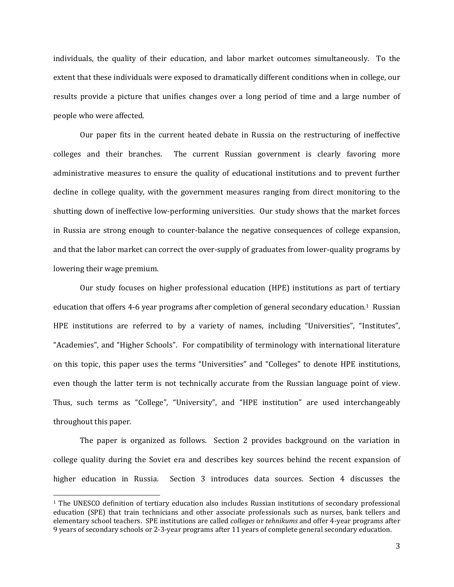individuals, the quality of their education, and labor market outcomes simultaneously. To the extent that these individuals were exposed to dramatically different conditions when in college, our results provide a picture that unifies changes over a long period of time and a large number of people who were affected.

Our paper fits in the current heated debate in Russia on the restructuring of ineffective colleges and their branches. The current Russian government is clearly favoring more administrative measures to ensure the quality of educational institutions and to prevent further decline in college quality, with the government measures ranging from direct monitoring to the shutting down of ineffective low-performing universities. Our study shows that the market forces in Russia are strong enough to counter-balance the negative consequences of college expansion, and that the labor market can correct the over-supply of graduates from lower-quality programs by lowering their wage premium.

Our study focuses on higher professional education (HPE) institutions as part of tertiary education that offers 4-6 year programs after completion of general secondary education.<sup>1</sup> Russian HPE institutions are referred to by a variety of names, including "Universities", "Institutes", "Academies", and "Higher Schools". For compatibility of terminology with international literature on this topic, this paper uses the terms "Universities" and "Colleges" to denote HPE institutions, even though the latter term is not technically accurate from the Russian language point of view. Thus, such terms as "College", "University", and "HPE institution" are used interchangeably throughout this paper.

The paper is organized as follows. Section 2 provides background on the variation in college quality during the Soviet era and describes key sources behind the recent expansion of higher education in Russia. Section 3 introduces data sources. Section 4 discusses the

 

 $1$  The UNESCO definition of tertiary education also includes Russian institutions of secondary professional education (SPE) that train technicians and other associate professionals such as nurses, bank tellers and elementary school teachers. SPE institutions are called *colleges* or *tehnikums* and offer 4-year programs after 9 years of secondary schools or 2-3-year programs after 11 years of complete general secondary education.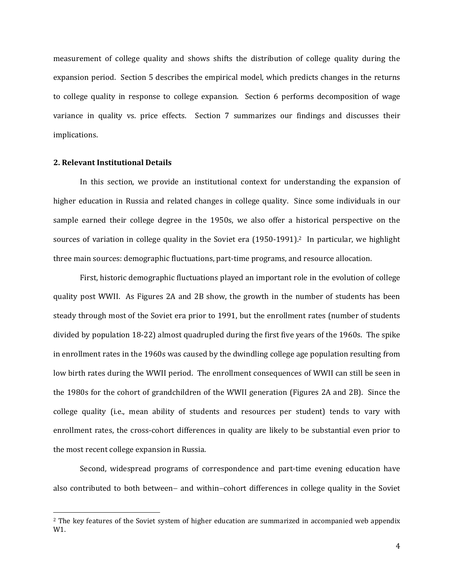measurement of college quality and shows shifts the distribution of college quality during the expansion period. Section 5 describes the empirical model, which predicts changes in the returns to college quality in response to college expansion. Section 6 performs decomposition of wage variance in quality vs. price effects. Section 7 summarizes our findings and discusses their implications. 

#### **2. Relevant Institutional Details**

 

In this section, we provide an institutional context for understanding the expansion of higher education in Russia and related changes in college quality. Since some individuals in our sample earned their college degree in the 1950s, we also offer a historical perspective on the sources of variation in college quality in the Soviet era  $(1950-1991)$ .<sup>2</sup> In particular, we highlight three main sources: demographic fluctuations, part-time programs, and resource allocation.

First, historic demographic fluctuations played an important role in the evolution of college quality post WWII. As Figures 2A and 2B show, the growth in the number of students has been steady through most of the Soviet era prior to 1991, but the enrollment rates (number of students divided by population  $18-22$ ) almost quadrupled during the first five years of the 1960s. The spike in enrollment rates in the 1960s was caused by the dwindling college age population resulting from low birth rates during the WWII period. The enrollment consequences of WWII can still be seen in the 1980s for the cohort of grandchildren of the WWII generation (Figures 2A and 2B). Since the college quality (i.e., mean ability of students and resources per student) tends to vary with enrollment rates, the cross-cohort differences in quality are likely to be substantial even prior to the most recent college expansion in Russia.

Second, widespread programs of correspondence and part-time evening education have also contributed to both between- and within-cohort differences in college quality in the Soviet

<sup>&</sup>lt;sup>2</sup> The key features of the Soviet system of higher education are summarized in accompanied web appendix W1.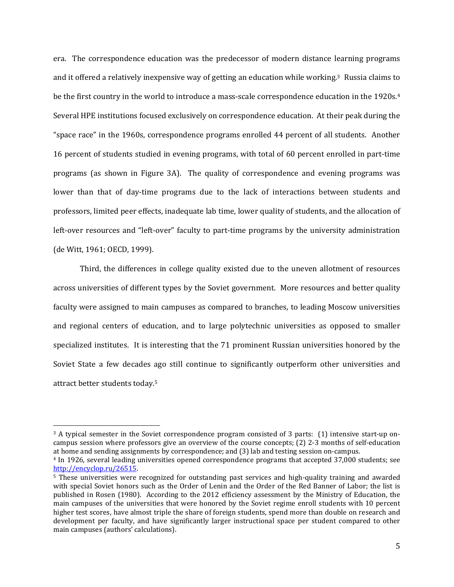era. The correspondence education was the predecessor of modern distance learning programs and it offered a relatively inexpensive way of getting an education while working.<sup>3</sup> Russia claims to be the first country in the world to introduce a mass-scale correspondence education in the 1920s.<sup>4</sup> Several HPE institutions focused exclusively on correspondence education. At their peak during the "space race" in the 1960s, correspondence programs enrolled 44 percent of all students. Another 16 percent of students studied in evening programs, with total of 60 percent enrolled in part-time programs (as shown in Figure 3A). The quality of correspondence and evening programs was lower than that of day-time programs due to the lack of interactions between students and professors, limited peer effects, inadequate lab time, lower quality of students, and the allocation of left-over resources and "left-over" faculty to part-time programs by the university administration (de Witt, 1961; OECD, 1999).

Third, the differences in college quality existed due to the uneven allotment of resources across universities of different types by the Soviet government. More resources and better quality faculty were assigned to main campuses as compared to branches, to leading Moscow universities and regional centers of education, and to large polytechnic universities as opposed to smaller specialized institutes. It is interesting that the 71 prominent Russian universities honored by the Soviet State a few decades ago still continue to significantly outperform other universities and attract better students today.<sup>5</sup>

 

 $3$  A typical semester in the Soviet correspondence program consisted of 3 parts: (1) intensive start-up oncampus session where professors give an overview of the course concepts;  $(2)$  2-3 months of self-education at home and sending assignments by correspondence; and (3) lab and testing session on-campus.

<sup>&</sup>lt;sup>4</sup> In 1926, several leading universities opened correspondence programs that accepted 37,000 students; see http://encyclop.ru/26515. 

<sup>5</sup> These universities were recognized for outstanding past services and high-quality training and awarded with special Soviet honors such as the Order of Lenin and the Order of the Red Banner of Labor; the list is published in Rosen (1980). According to the 2012 efficiency assessment by the Ministry of Education, the main campuses of the universities that were honored by the Soviet regime enroll students with 10 percent higher test scores, have almost triple the share of foreign students, spend more than double on research and development per faculty, and have significantly larger instructional space per student compared to other main campuses (authors' calculations).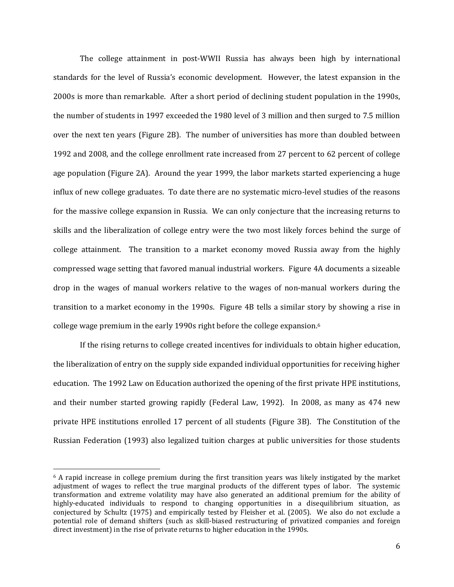The college attainment in post-WWII Russia has always been high by international standards for the level of Russia's economic development. However, the latest expansion in the 2000s is more than remarkable. After a short period of declining student population in the 1990s, the number of students in 1997 exceeded the 1980 level of 3 million and then surged to 7.5 million over the next ten years (Figure 2B). The number of universities has more than doubled between 1992 and 2008, and the college enrollment rate increased from 27 percent to 62 percent of college age population (Figure 2A). Around the year 1999, the labor markets started experiencing a huge influx of new college graduates. To date there are no systematic micro-level studies of the reasons for the massive college expansion in Russia. We can only conjecture that the increasing returns to skills and the liberalization of college entry were the two most likely forces behind the surge of college attainment. The transition to a market economy moved Russia away from the highly compressed wage setting that favored manual industrial workers. Figure 4A documents a sizeable drop in the wages of manual workers relative to the wages of non-manual workers during the transition to a market economy in the 1990s. Figure 4B tells a similar story by showing a rise in college wage premium in the early 1990s right before the college expansion.<sup>6</sup>

If the rising returns to college created incentives for individuals to obtain higher education, the liberalization of entry on the supply side expanded individual opportunities for receiving higher education. The 1992 Law on Education authorized the opening of the first private HPE institutions, and their number started growing rapidly (Federal Law, 1992). In 2008, as many as 474 new private HPE institutions enrolled 17 percent of all students (Figure 3B). The Constitution of the Russian Federation (1993) also legalized tuition charges at public universities for those students

 

 $6$  A rapid increase in college premium during the first transition years was likely instigated by the market adjustment of wages to reflect the true marginal products of the different types of labor. The systemic transformation and extreme volatility may have also generated an additional premium for the ability of highly-educated individuals to respond to changing opportunities in a disequilibrium situation, as conjectured by Schultz (1975) and empirically tested by Fleisher et al. (2005). We also do not exclude a potential role of demand shifters (such as skill-biased restructuring of privatized companies and foreign direct investment) in the rise of private returns to higher education in the 1990s.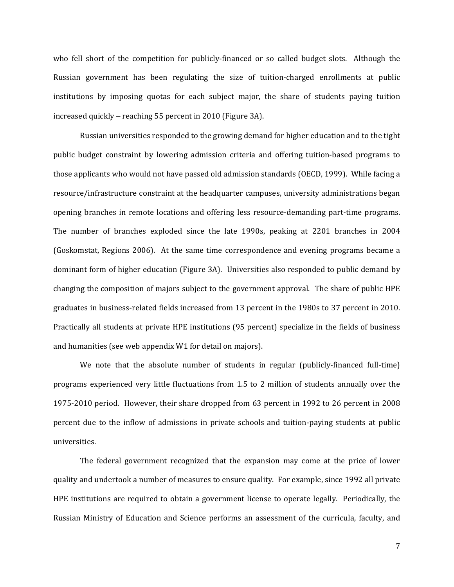who fell short of the competition for publicly-financed or so called budget slots. Although the Russian government has been regulating the size of tuition-charged enrollments at public institutions by imposing quotas for each subject major, the share of students paying tuition increased quickly  $-$  reaching 55 percent in 2010 (Figure 3A).

Russian universities responded to the growing demand for higher education and to the tight public budget constraint by lowering admission criteria and offering tuition-based programs to those applicants who would not have passed old admission standards (OECD, 1999). While facing a resource/infrastructure constraint at the headquarter campuses, university administrations began opening branches in remote locations and offering less resource-demanding part-time programs. The number of branches exploded since the late 1990s, peaking at 2201 branches in 2004 (Goskomstat, Regions 2006). At the same time correspondence and evening programs became a dominant form of higher education (Figure 3A). Universities also responded to public demand by changing the composition of majors subject to the government approval. The share of public HPE graduates in business-related fields increased from 13 percent in the 1980s to 37 percent in 2010. Practically all students at private HPE institutions (95 percent) specialize in the fields of business and humanities (see web appendix W1 for detail on majors).

We note that the absolute number of students in regular (publicly-financed full-time) programs experienced very little fluctuations from 1.5 to 2 million of students annually over the 1975-2010 period. However, their share dropped from 63 percent in 1992 to 26 percent in 2008 percent due to the inflow of admissions in private schools and tuition-paying students at public universities. 

The federal government recognized that the expansion may come at the price of lower quality and undertook a number of measures to ensure quality. For example, since 1992 all private HPE institutions are required to obtain a government license to operate legally. Periodically, the Russian Ministry of Education and Science performs an assessment of the curricula, faculty, and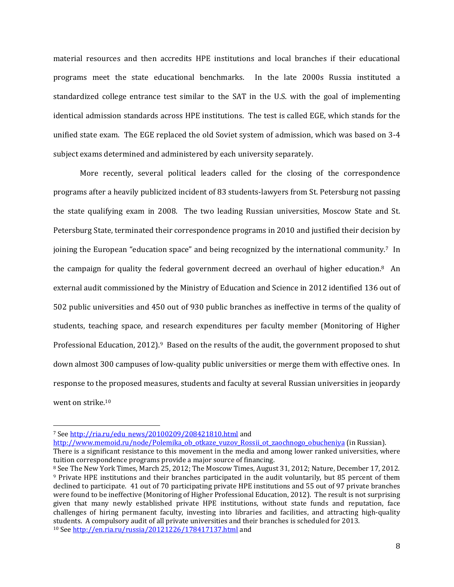material resources and then accredits HPE institutions and local branches if their educational programs meet the state educational benchmarks. In the late 2000s Russia instituted a standardized college entrance test similar to the SAT in the U.S. with the goal of implementing identical admission standards across HPE institutions. The test is called EGE, which stands for the unified state exam. The EGE replaced the old Soviet system of admission, which was based on 3-4 subject exams determined and administered by each university separately.

More recently, several political leaders called for the closing of the correspondence programs after a heavily publicized incident of 83 students-lawyers from St. Petersburg not passing the state qualifying exam in 2008. The two leading Russian universities, Moscow State and St. Petersburg State, terminated their correspondence programs in 2010 and justified their decision by joining the European "education space" and being recognized by the international community.<sup>7</sup> In the campaign for quality the federal government decreed an overhaul of higher education.<sup>8</sup> An external audit commissioned by the Ministry of Education and Science in 2012 identified 136 out of 502 public universities and 450 out of 930 public branches as ineffective in terms of the quality of students, teaching space, and research expenditures per faculty member (Monitoring of Higher Professional Education, 2012).<sup>9</sup> Based on the results of the audit, the government proposed to shut down almost 300 campuses of low-quality public universities or merge them with effective ones. In response to the proposed measures, students and faculty at several Russian universities in jeopardy went on strike.<sup>10</sup>

<u> 1989 - Johann Stein, fransk politik (d. 1989)</u>

http://www.memoid.ru/node/Polemika\_ob\_otkaze\_vuzov\_Rossii\_ot\_zaochnogo\_obucheniya (in Russian). There is a significant resistance to this movement in the media and among lower ranked universities, where tuition correspondence programs provide a major source of financing.

<sup>&</sup>lt;sup>7</sup> See http://ria.ru/edu\_news/20100209/208421810.html and

<sup>&</sup>lt;sup>8</sup> See The New York Times, March 25, 2012; The Moscow Times, August 31, 2012; Nature, December 17, 2012.  $9$  Private HPE institutions and their branches participated in the audit voluntarily, but 85 percent of them declined to participate. 41 out of 70 participating private HPE institutions and 55 out of 97 private branches were found to be ineffective (Monitoring of Higher Professional Education, 2012). The result is not surprising given that many newly established private HPE institutions, without state funds and reputation, face challenges of hiring permanent faculty, investing into libraries and facilities, and attracting high-quality students. A compulsory audit of all private universities and their branches is scheduled for 2013. <sup>10</sup> See http://en.ria.ru/russia/20121226/178417137.html and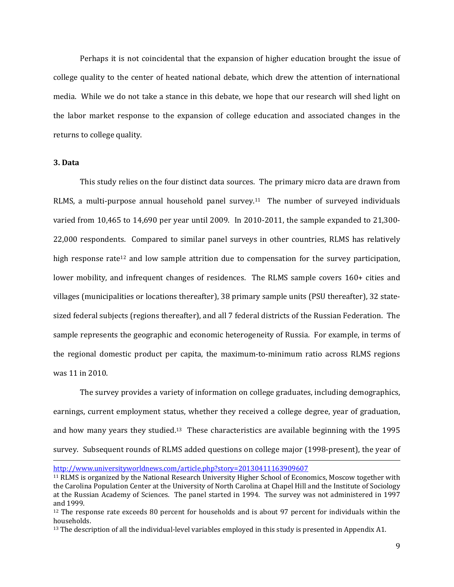Perhaps it is not coincidental that the expansion of higher education brought the issue of college quality to the center of heated national debate, which drew the attention of international media. While we do not take a stance in this debate, we hope that our research will shed light on the labor market response to the expansion of college education and associated changes in the returns to college quality.

#### **3. Data**

This study relies on the four distinct data sources. The primary micro data are drawn from RLMS, a multi-purpose annual household panel survey.<sup>11</sup> The number of surveyed individuals varied from 10,465 to 14,690 per year until 2009. In 2010-2011, the sample expanded to 21,300-22,000 respondents. Compared to similar panel surveys in other countries, RLMS has relatively high response rate<sup>12</sup> and low sample attrition due to compensation for the survey participation, lower mobility, and infrequent changes of residences. The RLMS sample covers 160+ cities and villages (municipalities or locations thereafter), 38 primary sample units (PSU thereafter), 32 statesized federal subjects (regions thereafter), and all 7 federal districts of the Russian Federation. The sample represents the geographic and economic heterogeneity of Russia. For example, in terms of the regional domestic product per capita, the maximum-to-minimum ratio across RLMS regions was 11 in 2010.

The survey provides a variety of information on college graduates, including demographics, earnings, current employment status, whether they received a college degree, year of graduation, and how many years they studied.<sup>13</sup> These characteristics are available beginning with the  $1995$ survey. Subsequent rounds of RLMS added questions on college major (1998-present), the year of <u> 1989 - Andrea Santa Andrea Santa Andrea Santa Andrea Santa Andrea Santa Andrea Santa Andrea Santa Andrea San</u>

http://www.universityworldnews.com/article.php?story=20130411163909607

<sup>&</sup>lt;sup>11</sup> RLMS is organized by the National Research University Higher School of Economics, Moscow together with the Carolina Population Center at the University of North Carolina at Chapel Hill and the Institute of Sociology at the Russian Academy of Sciences. The panel started in 1994. The survey was not administered in 1997 and 1999. 

<sup>&</sup>lt;sup>12</sup> The response rate exceeds 80 percent for households and is about 97 percent for individuals within the households. 

 $13$  The description of all the individual-level variables employed in this study is presented in Appendix A1.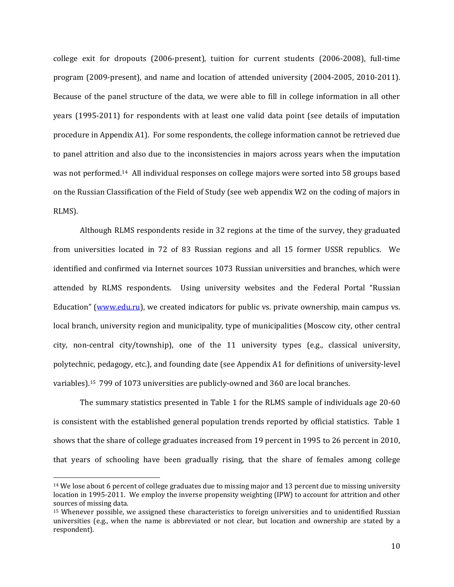college exit for dropouts (2006-present), tuition for current students (2006-2008), full-time program (2009-present), and name and location of attended university (2004-2005, 2010-2011). Because of the panel structure of the data, we were able to fill in college information in all other years (1995-2011) for respondents with at least one valid data point (see details of imputation procedure in Appendix A1). For some respondents, the college information cannot be retrieved due to panel attrition and also due to the inconsistencies in majors across years when the imputation was not performed.<sup>14</sup> All individual responses on college majors were sorted into 58 groups based on the Russian Classification of the Field of Study (see web appendix W2 on the coding of majors in RLMS). 

Although RLMS respondents reside in 32 regions at the time of the survey, they graduated from universities located in 72 of 83 Russian regions and all 15 former USSR republics. We identified and confirmed via Internet sources 1073 Russian universities and branches, which were attended by RLMS respondents. Using university websites and the Federal Portal "Russian Education" (www.edu.ru), we created indicators for public vs. private ownership, main campus vs. local branch, university region and municipality, type of municipalities (Moscow city, other central city, non-central city/township), one of the 11 university types (e.g., classical university, polytechnic, pedagogy, etc.), and founding date (see Appendix A1 for definitions of university-level variables).<sup>15</sup> 799 of 1073 universities are publicly-owned and 360 are local branches.

The summary statistics presented in Table 1 for the RLMS sample of individuals age  $20\n-60$ is consistent with the established general population trends reported by official statistics. Table 1 shows that the share of college graduates increased from 19 percent in 1995 to 26 percent in 2010, that years of schooling have been gradually rising, that the share of females among college

<u> 1989 - Johann Stein, fransk politik (d. 1989)</u>

 $14$  We lose about 6 percent of college graduates due to missing major and 13 percent due to missing university location in 1995-2011. We employ the inverse propensity weighting (IPW) to account for attrition and other sources of missing data.

 $15$  Whenever possible, we assigned these characteristics to foreign universities and to unidentified Russian universities (e.g., when the name is abbreviated or not clear, but location and ownership are stated by a respondent).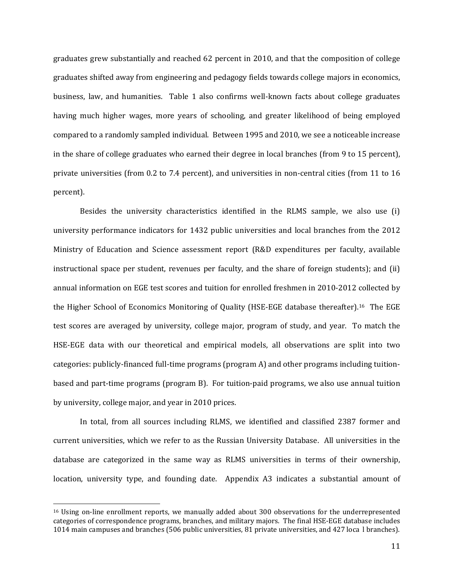graduates grew substantially and reached 62 percent in 2010, and that the composition of college graduates shifted away from engineering and pedagogy fields towards college majors in economics, business, law, and humanities. Table 1 also confirms well-known facts about college graduates having much higher wages, more years of schooling, and greater likelihood of being employed compared to a randomly sampled individual. Between 1995 and 2010, we see a noticeable increase in the share of college graduates who earned their degree in local branches (from 9 to 15 percent), private universities (from 0.2 to 7.4 percent), and universities in non-central cities (from 11 to 16 percent). 

Besides the university characteristics identified in the RLMS sample, we also use  $(i)$ university performance indicators for 1432 public universities and local branches from the 2012 Ministry of Education and Science assessment report (R&D expenditures per faculty, available instructional space per student, revenues per faculty, and the share of foreign students); and  $(ii)$ annual information on EGE test scores and tuition for enrolled freshmen in 2010-2012 collected by the Higher School of Economics Monitoring of Quality (HSE-EGE database thereafter).<sup>16</sup> The EGE test scores are averaged by university, college major, program of study, and year. To match the HSE-EGE data with our theoretical and empirical models, all observations are split into two categories: publicly-financed full-time programs (program A) and other programs including tuitionbased and part-time programs (program B). For tuition-paid programs, we also use annual tuition by university, college major, and year in 2010 prices.

In total, from all sources including RLMS, we identified and classified 2387 former and current universities, which we refer to as the Russian University Database. All universities in the database are categorized in the same way as RLMS universities in terms of their ownership, location, university type, and founding date. Appendix A3 indicates a substantial amount of

 

<sup>&</sup>lt;sup>16</sup> Using on-line enrollment reports, we manually added about 300 observations for the underrepresented categories of correspondence programs, branches, and military majors. The final HSE-EGE database includes 1014 main campuses and branches (506 public universities, 81 private universities, and 427 loca 1 branches).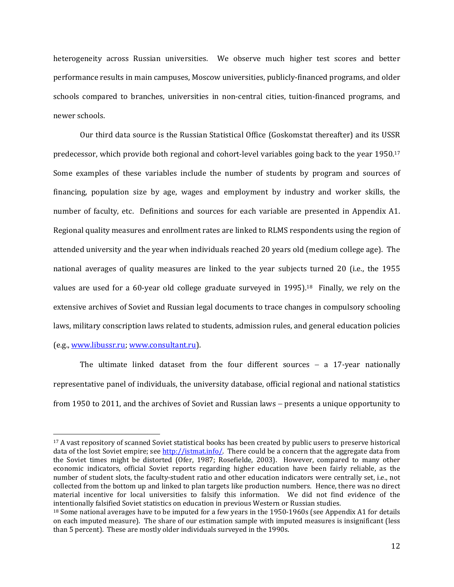heterogeneity across Russian universities. We observe much higher test scores and better performance results in main campuses, Moscow universities, publicly-financed programs, and older schools compared to branches, universities in non-central cities, tuition-financed programs, and newer schools.

Our third data source is the Russian Statistical Office (Goskomstat thereafter) and its USSR predecessor, which provide both regional and cohort-level variables going back to the year  $1950.17$ Some examples of these variables include the number of students by program and sources of financing, population size by age, wages and employment by industry and worker skills, the number of faculty, etc. Definitions and sources for each variable are presented in Appendix A1. Regional quality measures and enrollment rates are linked to RLMS respondents using the region of attended university and the year when individuals reached 20 years old (medium college age). The national averages of quality measures are linked to the year subjects turned 20 (i.e., the 1955 values are used for a 60-year old college graduate surveyed in  $1995$ .<sup>18</sup> Finally, we rely on the extensive archives of Soviet and Russian legal documents to trace changes in compulsory schooling laws, military conscription laws related to students, admission rules, and general education policies (e.g., www.libussr.ru; www.consultant.ru).

The ultimate linked dataset from the four different sources  $-$  a 17-year nationally representative panel of individuals, the university database, official regional and national statistics from 1950 to 2011, and the archives of Soviet and Russian laws - presents a unique opportunity to

 

<sup>&</sup>lt;sup>17</sup> A vast repository of scanned Soviet statistical books has been created by public users to preserve historical data of the lost Soviet empire; see http://istmat.info/. There could be a concern that the aggregate data from the Soviet times might be distorted (Ofer, 1987; Rosefielde, 2003). However, compared to many other economic indicators, official Soviet reports regarding higher education have been fairly reliable, as the number of student slots, the faculty-student ratio and other education indicators were centrally set, i.e., not collected from the bottom up and linked to plan targets like production numbers. Hence, there was no direct material incentive for local universities to falsify this information. We did not find evidence of the intentionally falsified Soviet statistics on education in previous Western or Russian studies.

 $18$  Some national averages have to be imputed for a few years in the 1950-1960s (see Appendix A1 for details on each imputed measure). The share of our estimation sample with imputed measures is insignificant (less than 5 percent). These are mostly older individuals surveyed in the 1990s.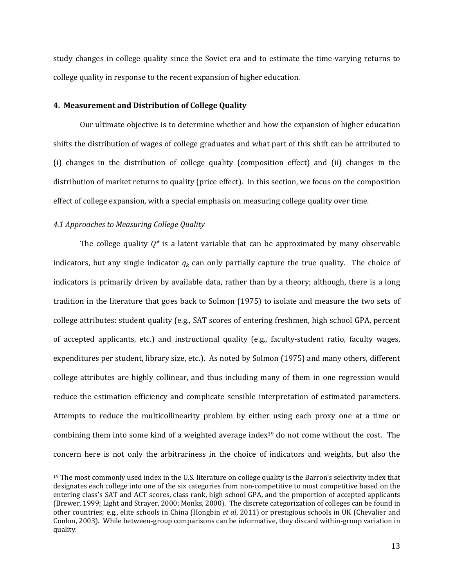study changes in college quality since the Soviet era and to estimate the time-varying returns to college quality in response to the recent expansion of higher education.

### **4. Measurement and Distribution of College Quality**

Our ultimate objective is to determine whether and how the expansion of higher education shifts the distribution of wages of college graduates and what part of this shift can be attributed to (i) changes in the distribution of college quality (composition effect) and (ii) changes in the distribution of market returns to quality (price effect). In this section, we focus on the composition effect of college expansion, with a special emphasis on measuring college quality over time.

### *4.1 Approaches to Measuring College Quality*

 

The college quality  $Q^*$  is a latent variable that can be approximated by many observable indicators, but any single indicator  $q_k$  can only partially capture the true quality. The choice of indicators is primarily driven by available data, rather than by a theory; although, there is a long tradition in the literature that goes back to Solmon (1975) to isolate and measure the two sets of college attributes: student quality (e.g., SAT scores of entering freshmen, high school GPA, percent of accepted applicants, etc.) and instructional quality  $(e.g.,$  faculty-student ratio, faculty wages, expenditures per student, library size, etc.). As noted by Solmon (1975) and many others, different college attributes are highly collinear, and thus including many of them in one regression would reduce the estimation efficiency and complicate sensible interpretation of estimated parameters. Attempts to reduce the multicollinearity problem by either using each proxy one at a time or combining them into some kind of a weighted average index<sup>19</sup> do not come without the cost. The concern here is not only the arbitrariness in the choice of indicators and weights, but also the

 $19$  The most commonly used index in the U.S. literature on college quality is the Barron's selectivity index that designates each college into one of the six categories from non-competitive to most competitive based on the entering class's SAT and ACT scores, class rank, high school GPA, and the proportion of accepted applicants (Brewer, 1999; Light and Strayer, 2000; Monks, 2000). The discrete categorization of colleges can be found in other countries; e.g., elite schools in China (Hongbin *et al*, 2011) or prestigious schools in UK (Chevalier and Conlon, 2003). While between-group comparisons can be informative, they discard within-group variation in quality.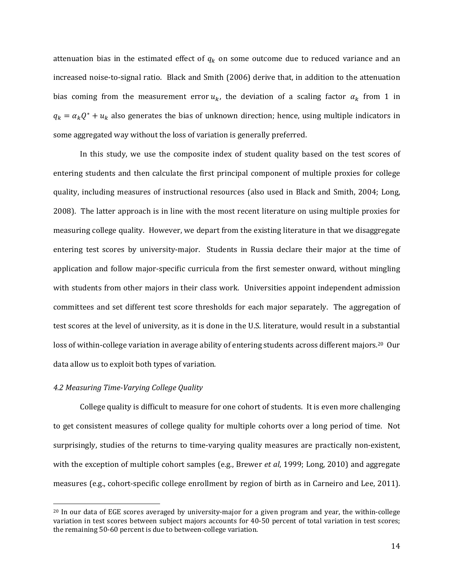attenuation bias in the estimated effect of  $q_k$  on some outcome due to reduced variance and an increased noise-to-signal ratio. Black and Smith (2006) derive that, in addition to the attenuation bias coming from the measurement error  $u_k$ , the deviation of a scaling factor  $\alpha_k$  from 1 in  $q_k = \alpha_k Q^* + u_k$  also generates the bias of unknown direction; hence, using multiple indicators in some aggregated way without the loss of variation is generally preferred.

In this study, we use the composite index of student quality based on the test scores of entering students and then calculate the first principal component of multiple proxies for college quality, including measures of instructional resources (also used in Black and Smith, 2004; Long, 2008). The latter approach is in line with the most recent literature on using multiple proxies for measuring college quality. However, we depart from the existing literature in that we disaggregate entering test scores by university-major. Students in Russia declare their major at the time of application and follow major-specific curricula from the first semester onward, without mingling with students from other majors in their class work. Universities appoint independent admission committees and set different test score thresholds for each major separately. The aggregation of test scores at the level of university, as it is done in the U.S. literature, would result in a substantial loss of within-college variation in average ability of entering students across different majors.<sup>20</sup> Our data allow us to exploit both types of variation.

#### *4.2 Measuring Time‐Varying College Quality*

 

College quality is difficult to measure for one cohort of students. It is even more challenging to get consistent measures of college quality for multiple cohorts over a long period of time. Not surprisingly, studies of the returns to time-varying quality measures are practically non-existent, with the exception of multiple cohort samples (e.g., Brewer *et al*, 1999; Long, 2010) and aggregate measures (e.g., cohort-specific college enrollment by region of birth as in Carneiro and Lee, 2011).

 $^{20}$  In our data of EGE scores averaged by university-major for a given program and year, the within-college variation in test scores between subject majors accounts for 40-50 percent of total variation in test scores; the remaining 50-60 percent is due to between-college variation.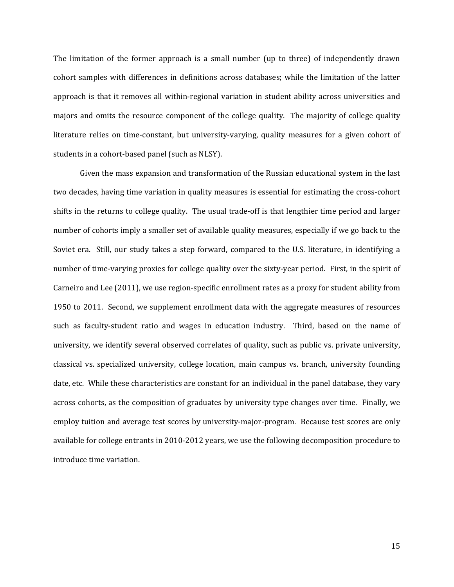The limitation of the former approach is a small number (up to three) of independently drawn cohort samples with differences in definitions across databases; while the limitation of the latter approach is that it removes all within-regional variation in student ability across universities and majors and omits the resource component of the college quality. The majority of college quality literature relies on time-constant, but university-varying, quality measures for a given cohort of students in a cohort-based panel (such as NLSY).

Given the mass expansion and transformation of the Russian educational system in the last two decades, having time variation in quality measures is essential for estimating the cross-cohort shifts in the returns to college quality. The usual trade-off is that lengthier time period and larger number of cohorts imply a smaller set of available quality measures, especially if we go back to the Soviet era. Still, our study takes a step forward, compared to the U.S. literature, in identifying a number of time-varying proxies for college quality over the sixty-year period. First, in the spirit of Carneiro and Lee (2011), we use region-specific enrollment rates as a proxy for student ability from 1950 to 2011. Second, we supplement enrollment data with the aggregate measures of resources such as faculty-student ratio and wages in education industry. Third, based on the name of university, we identify several observed correlates of quality, such as public vs. private university, classical vs. specialized university, college location, main campus vs. branch, university founding date, etc. While these characteristics are constant for an individual in the panel database, they vary across cohorts, as the composition of graduates by university type changes over time. Finally, we employ tuition and average test scores by university-major-program. Because test scores are only available for college entrants in 2010-2012 years, we use the following decomposition procedure to introduce time variation.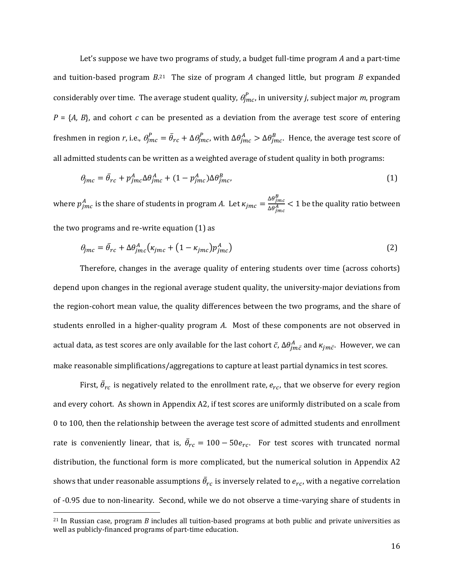Let's suppose we have two programs of study, a budget full-time program A and a part-time and tuition-based program  $B^{21}$  The size of program  $A$  changed little, but program  $B$  expanded considerably over time. The average student quality,  $\theta_{jmc}^{P}$ , in university *j*, subject major *m*, program  $P = \{A, B\}$ , and cohort *c* can be presented as a deviation from the average test score of entering freshmen in region *r*, i.e.,  $\theta_{jmc}^P = \bar{\theta}_{rc} + \Delta \theta_{jmc}^P$ , with  $\Delta \theta_{jmc}^A > \Delta \theta_{jmc}^B$ . Hence, the average test score of all admitted students can be written as a weighted average of student quality in both programs:

$$
\theta_{jmc} = \bar{\theta}_{rc} + p_{jmc}^A \Delta \theta_{jmc}^A + (1 - p_{jmc}^A) \Delta \theta_{jmc}^B, \tag{1}
$$

where  $p_{jmc}^A$  is the share of students in program *A*. Let  $\kappa_{jmc} = \frac{\Delta\theta_{jmc}^B}{\Delta\theta_A^A}$  $\frac{\Delta\sigma_{jmc}}{\Delta\theta_{jmc}^{A}}$  < 1 be the quality ratio between the two programs and re-write equation  $(1)$  as

$$
\theta_{jmc} = \bar{\theta}_{rc} + \Delta\theta_{jmc}^A \left(\kappa_{jmc} + (1 - \kappa_{jmc})p_{jmc}^A\right)
$$
 (2)

Therefore, changes in the average quality of entering students over time (across cohorts) depend upon changes in the regional average student quality, the university-major deviations from the region-cohort mean value, the quality differences between the two programs, and the share of students enrolled in a higher-quality program *A*. Most of these components are not observed in actual data, as test scores are only available for the last cohort  $\bar c$ ,  $\Delta\theta^A_{jm\bar c}$  and  $\kappa_{jm\bar c}.$  However, we can make reasonable simplifications/aggregations to capture at least partial dynamics in test scores.

First,  $\bar{\theta}_{rc}$  is negatively related to the enrollment rate,  $e_{rc}$ , that we observe for every region and every cohort. As shown in Appendix A2, if test scores are uniformly distributed on a scale from 0 to 100, then the relationship between the average test score of admitted students and enrollment rate is conveniently linear, that is,  $\bar{\theta}_{rc} = 100 - 50 e_{rc}$ . For test scores with truncated normal distribution, the functional form is more complicated, but the numerical solution in Appendix A2 shows that under reasonable assumptions  $\bar{\theta}_{rc}$  is inversely related to  $e_{rc}$ , with a negative correlation of -0.95 due to non-linearity. Second, while we do not observe a time-varying share of students in

 

 $21$  In Russian case, program *B* includes all tuition-based programs at both public and private universities as well as publicly-financed programs of part-time education.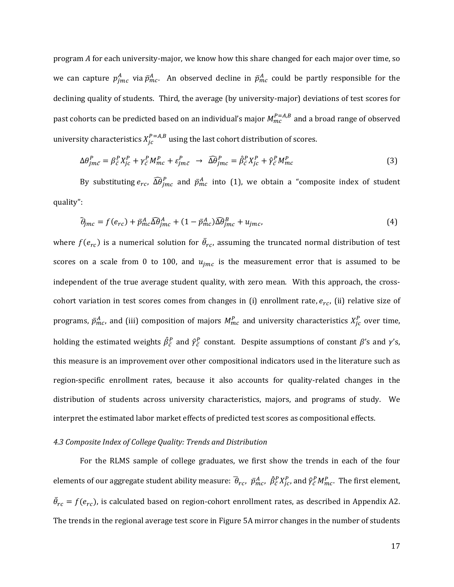program *A* for each university-major, we know how this share changed for each major over time, so we can capture  $p_{jmc}^A$  via  $\bar{p}_{mc}^A$ . An observed decline in  $\bar{p}_{mc}^A$  could be partly responsible for the  $\ddot{\phantom{a}}$ declining quality of students. Third, the average (by university-major) deviations of test scores for past cohorts can be predicted based on an individual's major  $M_{mc}^{P=A,B}$  and a broad range of observed university characteristics  $X_{jc}^{P=A,B}$  using the last cohort distribution of scores.

$$
\Delta \theta_{jm\bar{c}}^P = \beta_{\bar{c}}^P X_{jc}^P + \gamma_{\bar{c}}^P M_{mc}^P + \varepsilon_{jm\bar{c}}^P \rightarrow \widehat{\Delta \theta}_{jm\bar{c}}^P = \widehat{\beta}_{\bar{c}}^P X_{jc}^P + \widehat{\gamma}_{\bar{c}}^P M_{mc}^P
$$
(3)

By substituting  $e_{rc}$ ,  $\widehat{\Delta \theta}_{jmc}^P$  and  $\bar{p}_{mc}^A$  into (1), we obtain a "composite index of student  $\ddot{\phantom{a}}$ quality": 

$$
\tilde{\theta}_{jmc} = f(e_{rc}) + \bar{p}_{mc}^A \Omega \theta_{jmc}^A + (1 - \bar{p}_{mc}^A) \Omega \theta_{jmc}^B + u_{jmc},
$$
\n(4)

where  $f(e_{rc})$  is a numerical solution for  $\bar{\theta}_{rc}$ , assuming the truncated normal distribution of test scores on a scale from 0 to 100, and  $u_{jmc}$  is the measurement error that is assumed to be independent of the true average student quality, with zero mean. With this approach, the crosscohort variation in test scores comes from changes in (i) enrollment rate,  $e_{rc}$ , (ii) relative size of  $\ddot{\phantom{a}}$ programs,  $\bar{p}^A_{mc}$ , and (iii) composition of majors  $M^P_{mc}$  and university characteristics  $X^P_{jc}$  over time, holding the estimated weights  $\hat{\beta}_{\bar{c}}^P$  and  $\hat{\gamma}_{\bar{c}}^P$  constant. Despite assumptions of constant  $\beta$ 's and  $\gamma$ 's, this measure is an improvement over other compositional indicators used in the literature such as region-specific enrollment rates, because it also accounts for quality-related changes in the distribution of students across university characteristics, majors, and programs of study. We interpret the estimated labor market effects of predicted test scores as compositional effects.

#### *4.3 Composite Index of College Quality: Trends and Distribution*

For the RLMS sample of college graduates, we first show the trends in each of the four elements of our aggregate student ability measure:  $\bar\theta_{rc}$ ,  $\bar p^A_{mc}$ ,  $\hat\beta^P_\zeta X^P_{jc}$ , and  $\hat\gamma^P_\zeta M^P_{mc}$ . The first element,  $\bar{\theta}_{rc} = f(e_{rc})$ , is calculated based on region-cohort enrollment rates, as described in Appendix A2. The trends in the regional average test score in Figure 5A mirror changes in the number of students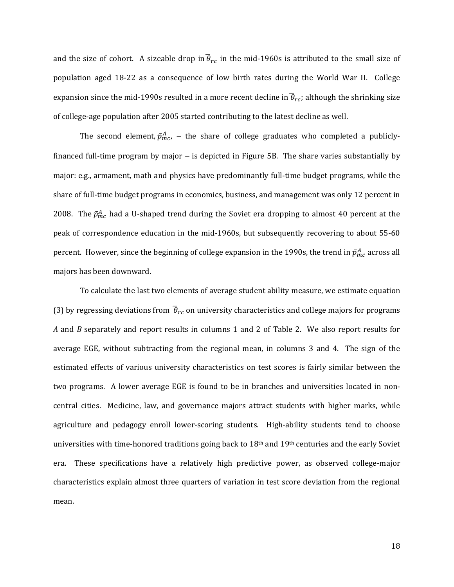and the size of cohort. A sizeable drop in  $\theta_{rc}$  in the mid-1960s is attributed to the small size of population aged 18-22 as a consequence of low birth rates during the World War II. College expansion since the mid-1990s resulted in a more recent decline in  $\bar{\theta}_{rc}$ ; although the shrinking size of college-age population after 2005 started contributing to the latest decline as well.

The second element,  $\bar{p}^A_{mc}$ ,  $-$  the share of college graduates who completed a publiclyfinanced full-time program by major  $-$  is depicted in Figure 5B. The share varies substantially by major: e.g., armament, math and physics have predominantly full-time budget programs, while the share of full-time budget programs in economics, business, and management was only 12 percent in  $\ddot{\phantom{a}}$ 2008. The  $\bar{p}_{mc}^A$  had a U-shaped trend during the Soviet era dropping to almost 40 percent at the peak of correspondence education in the mid-1960s, but subsequently recovering to about 55-60 percent. However, since the beginning of college expansion in the 1990s, the trend in  $\bar{p}^A_{mc}$  across all majors has been downward.

To calculate the last two elements of average student ability measure, we estimate equation (3) by regressing deviations from  $\bar{\theta}_{rc}$  on university characteristics and college majors for programs *A* and *B* separately and report results in columns 1 and 2 of Table 2. We also report results for average EGE, without subtracting from the regional mean, in columns 3 and 4. The sign of the estimated effects of various university characteristics on test scores is fairly similar between the two programs. A lower average EGE is found to be in branches and universities located in noncentral cities. Medicine, law, and governance majors attract students with higher marks, while agriculture and pedagogy enroll lower-scoring students. High-ability students tend to choose universities with time-honored traditions going back to  $18<sup>th</sup>$  and  $19<sup>th</sup>$  centuries and the early Soviet era. These specifications have a relatively high predictive power, as observed college-major characteristics explain almost three quarters of variation in test score deviation from the regional mean.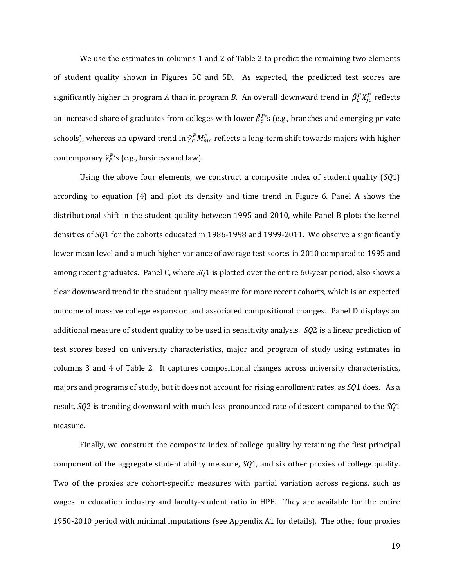We use the estimates in columns 1 and 2 of Table 2 to predict the remaining two elements of student quality shown in Figures 5C and 5D. As expected, the predicted test scores are significantly higher in program A than in program B. An overall downward trend in  $\hat{\beta}^P_{\bar{c}}X^P_{jc}$  reflects an increased share of graduates from colleges with lower  $\hat{\beta}^{P}_{\bar{c}}$ 's (e.g., branches and emerging private schools), whereas an upward trend in  $\hat{\gamma}^P_{\bar{c}} M^P_{mc}$  reflects a long-term shift towards majors with higher contemporary  $\hat{\gamma}_{\bar{c}}^{P}$ 's (e.g., business and law).

Using the above four elements, we construct a composite index of student quality (*SQ1*) according to equation  $(4)$  and plot its density and time trend in Figure 6. Panel A shows the distributional shift in the student quality between 1995 and 2010, while Panel B plots the kernel densities of *SQ*1 for the cohorts educated in 1986-1998 and 1999-2011. We observe a significantly lower mean level and a much higher variance of average test scores in 2010 compared to 1995 and among recent graduates. Panel C, where *SQ1* is plotted over the entire 60-year period, also shows a clear downward trend in the student quality measure for more recent cohorts, which is an expected outcome of massive college expansion and associated compositional changes. Panel D displays an additional measure of student quality to be used in sensitivity analysis. *SQ2* is a linear prediction of test scores based on university characteristics, major and program of study using estimates in columns 3 and 4 of Table 2. It captures compositional changes across university characteristics, majors and programs of study, but it does not account for rising enrollment rates, as *SQ*1 does. As a result, *SQ*2 is trending downward with much less pronounced rate of descent compared to the *SQ*1 measure. 

Finally, we construct the composite index of college quality by retaining the first principal component of the aggregate student ability measure, *SQ1*, and six other proxies of college quality. Two of the proxies are cohort-specific measures with partial variation across regions, such as wages in education industry and faculty-student ratio in HPE. They are available for the entire 1950-2010 period with minimal imputations (see Appendix A1 for details). The other four proxies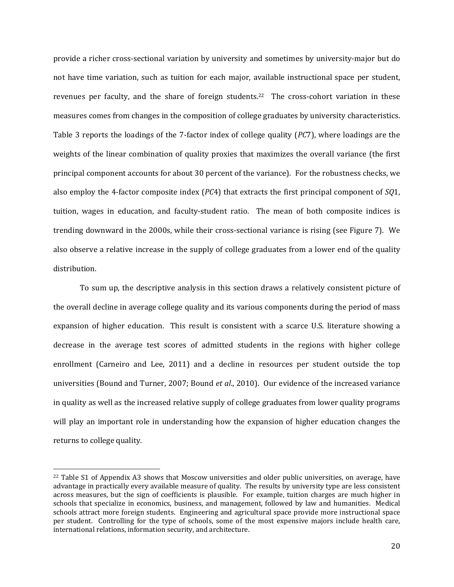provide a richer cross-sectional variation by university and sometimes by university-major but do not have time variation, such as tuition for each major, available instructional space per student, revenues per faculty, and the share of foreign students.<sup>22</sup> The cross-cohort variation in these measures comes from changes in the composition of college graduates by university characteristics. Table 3 reports the loadings of the 7-factor index of college quality (*PC*7), where loadings are the weights of the linear combination of quality proxies that maximizes the overall variance (the first principal component accounts for about 30 percent of the variance). For the robustness checks, we also employ the 4-factor composite index (*PC*4) that extracts the first principal component of *SQ*1, tuition, wages in education, and faculty-student ratio. The mean of both composite indices is trending downward in the 2000s, while their cross-sectional variance is rising (see Figure 7). We also observe a relative increase in the supply of college graduates from a lower end of the quality distribution. 

To sum up, the descriptive analysis in this section draws a relatively consistent picture of the overall decline in average college quality and its various components during the period of mass expansion of higher education. This result is consistent with a scarce U.S. literature showing a decrease in the average test scores of admitted students in the regions with higher college enrollment (Carneiro and Lee, 2011) and a decline in resources per student outside the top universities (Bound and Turner, 2007; Bound *et al.*, 2010). Our evidence of the increased variance in quality as well as the increased relative supply of college graduates from lower quality programs will play an important role in understanding how the expansion of higher education changes the returns to college quality.

 

<sup>&</sup>lt;sup>22</sup> Table S1 of Appendix A3 shows that Moscow universities and older public universities, on average, have advantage in practically every available measure of quality. The results by university type are less consistent across measures, but the sign of coefficients is plausible. For example, tuition charges are much higher in schools that specialize in economics, business, and management, followed by law and humanities. Medical schools attract more foreign students. Engineering and agricultural space provide more instructional space per student. Controlling for the type of schools, some of the most expensive majors include health care, international relations, information security, and architecture.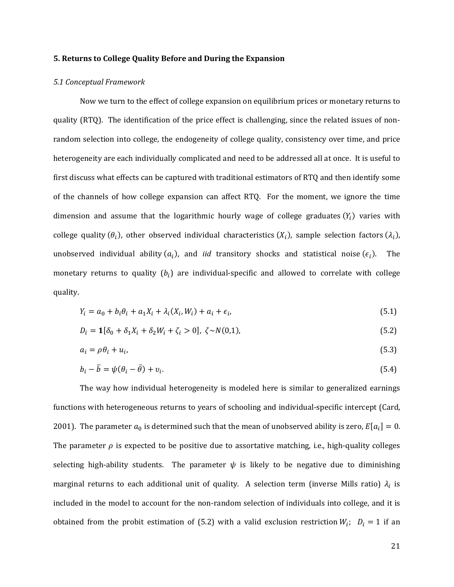#### **5. Returns to College Quality Before and During the Expansion**

#### *5.1 Conceptual Framework*

Now we turn to the effect of college expansion on equilibrium prices or monetary returns to quality (RTQ). The identification of the price effect is challenging, since the related issues of nonrandom selection into college, the endogeneity of college quality, consistency over time, and price heterogeneity are each individually complicated and need to be addressed all at once. It is useful to first discuss what effects can be captured with traditional estimators of RTQ and then identify some of the channels of how college expansion can affect RTQ. For the moment, we ignore the time dimension and assume that the logarithmic hourly wage of college graduates  $(Y_i)$  varies with college quality  $(\theta_i)$ , other observed individual characteristics  $(X_i)$ , sample selection factors  $(\lambda_i)$ , unobserved individual ability  $(a_i)$ , and *iid* transitory shocks and statistical noise  $(\epsilon_i)$ . The monetary returns to quality  $(b_i)$  are individual-specific and allowed to correlate with college quality. 

$$
Y_i = a_0 + b_i \theta_i + a_1 X_i + \lambda_i (X_i, W_i) + a_i + \epsilon_i,
$$
\n
$$
(5.1)
$$

$$
D_i = \mathbf{1}[\delta_0 + \delta_1 X_i + \delta_2 W_i + \zeta_i > 0], \ \zeta \sim N(0,1), \tag{5.2}
$$

$$
a_i = \rho \theta_i + u_i, \tag{5.3}
$$

$$
b_i - \overline{b} = \psi(\theta_i - \overline{\theta}) + v_i. \tag{5.4}
$$

The way how individual heterogeneity is modeled here is similar to generalized earnings functions with heterogeneous returns to years of schooling and individual-specific intercept (Card, 2001). The parameter  $a_0$  is determined such that the mean of unobserved ability is zero,  $E[a_i] = 0$ . The parameter  $\rho$  is expected to be positive due to assortative matching, i.e., high-quality colleges selecting high-ability students. The parameter  $\psi$  is likely to be negative due to diminishing marginal returns to each additional unit of quality. A selection term (inverse Mills ratio)  $\lambda_i$  is included in the model to account for the non-random selection of individuals into college, and it is obtained from the probit estimation of (5.2) with a valid exclusion restriction  $W_i$ ;  $D_i = 1$  if an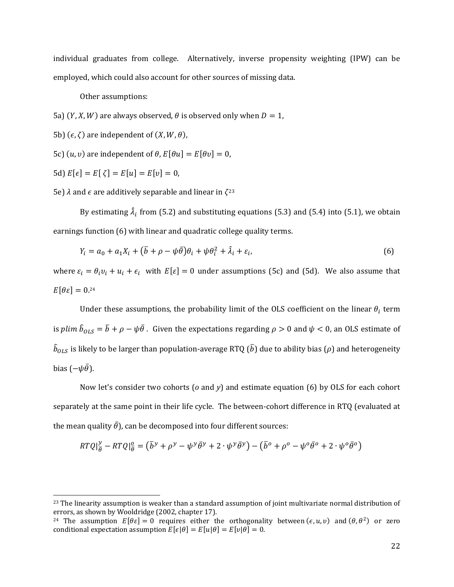individual graduates from college. Alternatively, inverse propensity weighting (IPW) can be employed, which could also account for other sources of missing data.

Other assumptions:

5a)  $(Y, X, W)$  are always observed,  $\theta$  is observed only when  $D = 1$ ,

5b)  $(\epsilon, \zeta)$  are independent of  $(X, W, \theta)$ ,

5c)  $(u, v)$  are independent of  $\theta$ ,  $E[\theta u] = E[\theta v] = 0$ ,

5d)  $E[\epsilon] = E[\zeta] = E[u] = E[v] = 0$ ,

 

5e)  $\lambda$  and  $\epsilon$  are additively separable and linear in  $\zeta^{23}$ 

By estimating  $\hat{\lambda}_i$  from (5.2) and substituting equations (5.3) and (5.4) into (5.1), we obtain earnings function (6) with linear and quadratic college quality terms.

$$
Y_i = a_0 + a_1 X_i + (\overline{b} + \rho - \psi \overline{\theta}) \theta_i + \psi \theta_i^2 + \hat{\lambda}_i + \varepsilon_i,
$$
\n<sup>(6)</sup>

where  $\varepsilon_i = \theta_i v_i + u_i + \epsilon_i$  with  $E[\varepsilon] = 0$  under assumptions (5c) and (5d). We also assume that  $E[\theta \varepsilon] = 0.24$ 

Under these assumptions, the probability limit of the OLS coefficient on the linear  $\theta_i$  term is  $plim\ \hat{b}_{OLS}=\bar{b}+\rho-\psi\bar{\theta}$  . Given the expectations regarding  $\rho>0$  and  $\psi< 0$ , an OLS estimate of  $\widehat{b}_{OLS}$  is likely to be larger than population-average RTQ ( $\bar{b}$ ) due to ability bias ( $\rho$ ) and heterogeneity bias ( $-\psi\bar{\theta}$ ).

Now let's consider two cohorts (*o* and *y*) and estimate equation (6) by OLS for each cohort separately at the same point in their life cycle. The between-cohort difference in RTQ (evaluated at the mean quality  $\bar{\theta}$ ), can be decomposed into four different sources:

$$
RTQ\left|\frac{y}{\theta} - RTQ\right|\frac{\theta}{\theta} = (\bar{b}^y + \rho^y - \psi^y \bar{\theta}^y + 2 \cdot \psi^y \bar{\theta}^y) - (\bar{b}^o + \rho^o - \psi^o \bar{\theta}^o + 2 \cdot \psi^o \bar{\theta}^o)
$$

 $23$  The linearity assumption is weaker than a standard assumption of joint multivariate normal distribution of errors, as shown by Wooldridge (2002, chapter 17).

<sup>&</sup>lt;sup>24</sup> The assumption  $E[\theta \varepsilon] = 0$  requires either the orthogonality between ( $\epsilon, u, v$ ) and ( $\theta, \theta^2$ ) or zero conditional expectation assumption  $E[\epsilon|\theta] = E[u|\theta] = E[v|\theta] = 0$ .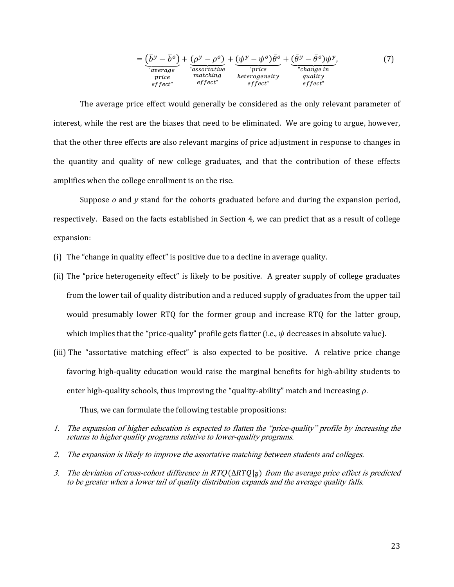$$
= \underbrace{(\bar{b}^y - \bar{b}^o)}_{\substack{v \text{ average} \\ \text{price} \\ \text{effect}}} + \underbrace{(\rho^y - \rho^o)}_{\substack{r \text{associative} \\ \text{matching} \\ \text{effect}}} + \underbrace{(\psi^y - \psi^o)\bar{\theta}^o}_{\substack{price} + \underbrace{(\bar{\theta}^y - \bar{\theta}^o)\psi^y}_{\substack{r \text{change in} \\ \text{quality} \\ \text{effect}}}.
$$
\n(7)

The average price effect would generally be considered as the only relevant parameter of interest, while the rest are the biases that need to be eliminated. We are going to argue, however, that the other three effects are also relevant margins of price adjustment in response to changes in the quantity and quality of new college graduates, and that the contribution of these effects amplifies when the college enrollment is on the rise.

Suppose  $o$  and  $\gamma$  stand for the cohorts graduated before and during the expansion period, respectively. Based on the facts established in Section 4, we can predict that as a result of college expansion: 

- (i) The "change in quality effect" is positive due to a decline in average quality.
- (ii) The "price heterogeneity effect" is likely to be positive. A greater supply of college graduates from the lower tail of quality distribution and a reduced supply of graduates from the upper tail would presumably lower RTQ for the former group and increase RTQ for the latter group, which implies that the "price-quality" profile gets flatter (i.e.,  $\psi$  decreases in absolute value).
- (iii) The "assortative matching effect" is also expected to be positive. A relative price change favoring high-quality education would raise the marginal benefits for high-ability students to enter high-quality schools, thus improving the "quality-ability" match and increasing  $\rho$ .

Thus, we can formulate the following testable propositions:

- 1. The expansion of higher education is expected to flatten the "price-quality" profile by increasing the returns to higher quality programs relative to lower-quality programs.
- 2. The expansion is likely to improve the assortative matching between students and colleges.
- 3. The deviation of cross-cohort difference in RTQ ( $\Delta RTQ|_{\overline{\theta}}$ ) from the average price effect is predicted to be greater when a lower tail of quality distribution expands and the average quality falls.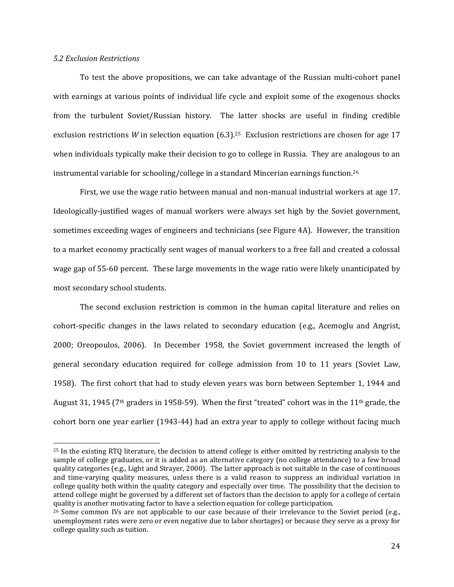#### *5.2 Exclusion Restrictions*

 

To test the above propositions, we can take advantage of the Russian multi-cohort panel with earnings at various points of individual life cycle and exploit some of the exogenous shocks from the turbulent Soviet/Russian history. The latter shocks are useful in finding credible exclusion restrictions *W* in selection equation  $(6.3)$ .<sup>25</sup> Exclusion restrictions are chosen for age 17 when individuals typically make their decision to go to college in Russia. They are analogous to an instrumental variable for schooling/college in a standard Mincerian earnings function.<sup>26</sup>

First, we use the wage ratio between manual and non-manual industrial workers at age 17. Ideologically-justified wages of manual workers were always set high by the Soviet government, sometimes exceeding wages of engineers and technicians (see Figure 4A). However, the transition to a market economy practically sent wages of manual workers to a free fall and created a colossal wage gap of 55-60 percent. These large movements in the wage ratio were likely unanticipated by most secondary school students.

The second exclusion restriction is common in the human capital literature and relies on cohort-specific changes in the laws related to secondary education (e.g., Acemoglu and Angrist, 2000; Oreopoulos, 2006). In December 1958, the Soviet government increased the length of general secondary education required for college admission from 10 to 11 years (Soviet Law, 1958). The first cohort that had to study eleven years was born between September 1, 1944 and August 31, 1945 (7<sup>th</sup> graders in 1958-59). When the first "treated" cohort was in the 11<sup>th</sup> grade, the cohort born one year earlier  $(1943-44)$  had an extra year to apply to college without facing much

 $25$  In the existing RTO literature, the decision to attend college is either omitted by restricting analysis to the sample of college graduates, or it is added as an alternative category (no college attendance) to a few broad quality categories (e.g., Light and Strayer, 2000). The latter approach is not suitable in the case of continuous and time-varying quality measures, unless there is a valid reason to suppress an individual variation in college quality both within the quality category and especially over time. The possibility that the decision to attend college might be governed by a different set of factors than the decision to apply for a college of certain quality is another motivating factor to have a selection equation for college participation.

 $26$  Some common IVs are not applicable to our case because of their irrelevance to the Soviet period (e.g., unemployment rates were zero or even negative due to labor shortages) or because they serve as a proxy for college quality such as tuition.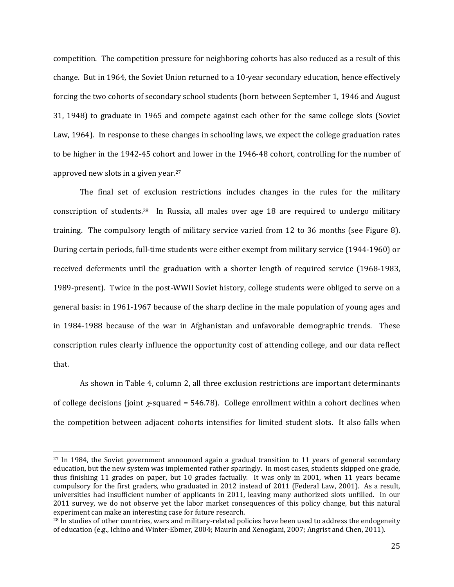competition. The competition pressure for neighboring cohorts has also reduced as a result of this change. But in 1964, the Soviet Union returned to a 10-year secondary education, hence effectively forcing the two cohorts of secondary school students (born between September 1, 1946 and August 31, 1948) to graduate in 1965 and compete against each other for the same college slots (Soviet Law, 1964). In response to these changes in schooling laws, we expect the college graduation rates to be higher in the 1942-45 cohort and lower in the 1946-48 cohort, controlling for the number of approved new slots in a given year.<sup>27</sup>

The final set of exclusion restrictions includes changes in the rules for the military conscription of students.<sup>28</sup> In Russia, all males over age 18 are required to undergo military training. The compulsory length of military service varied from 12 to 36 months (see Figure 8). During certain periods, full-time students were either exempt from military service (1944-1960) or received deferments until the graduation with a shorter length of required service (1968-1983, 1989-present). Twice in the post-WWII Soviet history, college students were obliged to serve on a general basis: in 1961-1967 because of the sharp decline in the male population of voung ages and in 1984-1988 because of the war in Afghanistan and unfavorable demographic trends. These conscription rules clearly influence the opportunity cost of attending college, and our data reflect that. 

As shown in Table 4, column 2, all three exclusion restrictions are important determinants of college decisions (joint  $\chi$ -squared = 546.78). College enrollment within a cohort declines when the competition between adjacent cohorts intensifies for limited student slots. It also falls when

 

 $27$  In 1984, the Soviet government announced again a gradual transition to 11 years of general secondary education, but the new system was implemented rather sparingly. In most cases, students skipped one grade, thus finishing 11 grades on paper, but 10 grades factually. It was only in 2001, when 11 years became compulsory for the first graders, who graduated in 2012 instead of 2011 (Federal Law, 2001). As a result, universities had insufficient number of applicants in 2011, leaving many authorized slots unfilled. In our 2011 survey, we do not observe yet the labor market consequences of this policy change, but this natural experiment can make an interesting case for future research.

<sup>&</sup>lt;sup>28</sup> In studies of other countries, wars and military-related policies have been used to address the endogeneity of education (e.g., Ichino and Winter-Ebmer, 2004; Maurin and Xenogiani, 2007; Angrist and Chen, 2011).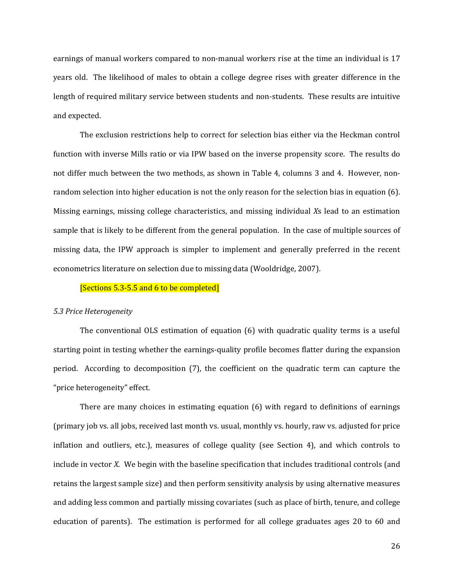earnings of manual workers compared to non-manual workers rise at the time an individual is 17 years old. The likelihood of males to obtain a college degree rises with greater difference in the length of required military service between students and non-students. These results are intuitive and expected.

The exclusion restrictions help to correct for selection bias either via the Heckman control function with inverse Mills ratio or via IPW based on the inverse propensity score. The results do not differ much between the two methods, as shown in Table 4, columns 3 and 4. However, nonrandom selection into higher education is not the only reason for the selection bias in equation  $(6)$ . Missing earnings, missing college characteristics, and missing individual *X*s lead to an estimation sample that is likely to be different from the general population. In the case of multiple sources of missing data, the IPW approach is simpler to implement and generally preferred in the recent econometrics literature on selection due to missing data (Wooldridge, 2007).

#### [Sections 5.3-5.5 and 6 to be completed]

#### *5.3 Price Heterogeneity*

The conventional OLS estimation of equation  $(6)$  with quadratic quality terms is a useful starting point in testing whether the earnings-quality profile becomes flatter during the expansion period. According to decomposition (7), the coefficient on the quadratic term can capture the "price heterogeneity" effect.

There are many choices in estimating equation  $(6)$  with regard to definitions of earnings (primary job vs. all jobs, received last month vs. usual, monthly vs. hourly, raw vs. adjusted for price inflation and outliers, etc.), measures of college quality (see Section 4), and which controls to include in vector *X*. We begin with the baseline specification that includes traditional controls (and retains the largest sample size) and then perform sensitivity analysis by using alternative measures and adding less common and partially missing covariates (such as place of birth, tenure, and college education of parents). The estimation is performed for all college graduates ages 20 to 60 and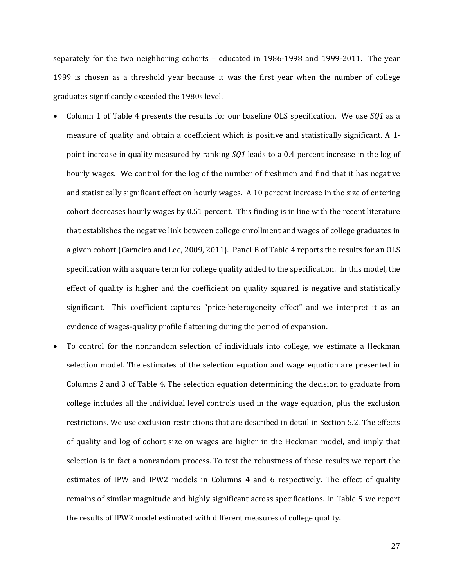separately for the two neighboring cohorts – educated in  $1986-1998$  and  $1999-2011$ . The year 1999 is chosen as a threshold year because it was the first year when the number of college graduates significantly exceeded the 1980s level.

- Column 1 of Table 4 presents the results for our baseline OLS specification. We use *SQ1* as a measure of quality and obtain a coefficient which is positive and statistically significant. A 1point increase in quality measured by ranking *SQ1* leads to a 0.4 percent increase in the log of hourly wages. We control for the log of the number of freshmen and find that it has negative and statistically significant effect on hourly wages. A 10 percent increase in the size of entering cohort decreases hourly wages by 0.51 percent. This finding is in line with the recent literature that establishes the negative link between college enrollment and wages of college graduates in a given cohort (Carneiro and Lee, 2009, 2011). Panel B of Table 4 reports the results for an OLS specification with a square term for college quality added to the specification. In this model, the effect of quality is higher and the coefficient on quality squared is negative and statistically significant. This coefficient captures "price-heterogeneity effect" and we interpret it as an evidence of wages-quality profile flattening during the period of expansion.
- To control for the nonrandom selection of individuals into college, we estimate a Heckman selection model. The estimates of the selection equation and wage equation are presented in Columns 2 and 3 of Table 4. The selection equation determining the decision to graduate from college includes all the individual level controls used in the wage equation, plus the exclusion restrictions. We use exclusion restrictions that are described in detail in Section 5.2. The effects of quality and log of cohort size on wages are higher in the Heckman model, and imply that selection is in fact a nonrandom process. To test the robustness of these results we report the estimates of IPW and IPW2 models in Columns 4 and 6 respectively. The effect of quality remains of similar magnitude and highly significant across specifications. In Table 5 we report the results of IPW2 model estimated with different measures of college quality.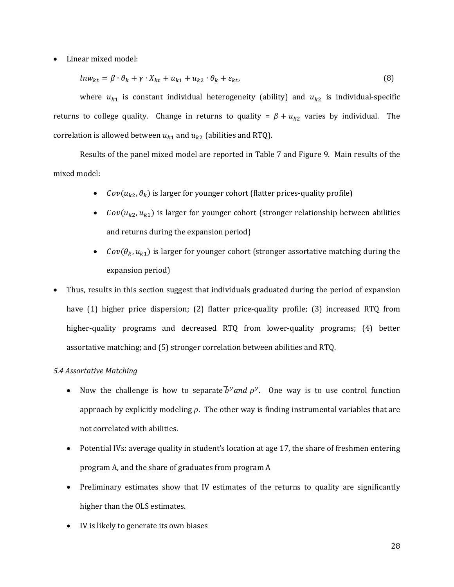Linear mixed model:

$$
ln w_{kt} = \beta \cdot \theta_k + \gamma \cdot X_{kt} + u_{k1} + u_{k2} \cdot \theta_k + \varepsilon_{kt},
$$
\n(8)

where  $u_{k1}$  is constant individual heterogeneity (ability) and  $u_{k2}$  is individual-specific returns to college quality. Change in returns to quality =  $\beta + u_{k2}$  varies by individual. The correlation is allowed between  $u_{k1}$  and  $u_{k2}$  (abilities and RTQ).

Results of the panel mixed model are reported in Table 7 and Figure 9. Main results of the mixed model:

- *Cov*( $u_{k2}, \theta_k$ ) is larger for younger cohort (flatter prices-quality profile)
- $Cov(u_{k2}, u_{k1})$  is larger for younger cohort (stronger relationship between abilities and returns during the expansion period)
- *Cov*( $\theta_k$ ,  $u_{k1}$ ) is larger for younger cohort (stronger assortative matching during the expansion period)
- Thus, results in this section suggest that individuals graduated during the period of expansion have (1) higher price dispersion; (2) flatter price-quality profile; (3) increased RTQ from higher-quality programs and decreased RTQ from lower-quality programs; (4) better assortative matching; and (5) stronger correlation between abilities and RTQ.

# *5.4 Assortative Matching*

- Now the challenge is how to separate  $\bar{b}^{\gamma}$  and  $\rho^{\gamma}$ . One way is to use control function approach by explicitly modeling  $\rho$ . The other way is finding instrumental variables that are not correlated with abilities.
- Potential IVs: average quality in student's location at age 17, the share of freshmen entering program A, and the share of graduates from program A
- Preliminary estimates show that IV estimates of the returns to quality are significantly higher than the OLS estimates.
- IV is likely to generate its own biases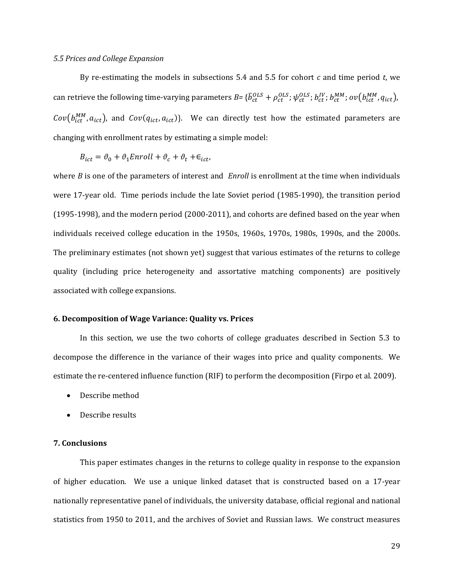#### *5.5 Prices and College Expansion*

By re-estimating the models in subsections  $5.4$  and  $5.5$  for cohort  $c$  and time period  $t$ , we can retrieve the following time-varying parameters  $B$ =  $\{\bar{b}_{ct}^{OLS}$  +  $\rho_{ct}^{OLS}$ ;  $\psi_{ct}^{OLS}$ ;  $b_{ct}^{IV}$ ;  $b_{ct}^{MM}$ ;  $ov(b_{ict}^{MM}, q_{ict})$ ,  $Cov(b_{ict}^{MM}, a_{ict})$ , and  $Cov(q_{ict}, a_{ict})$ }. We can directly test how the estimated parameters are changing with enrollment rates by estimating a simple model:

$$
B_{ict} = \vartheta_0 + \vartheta_1 Enroll + \vartheta_c + \vartheta_t + \epsilon_{ict},
$$

where  $B$  is one of the parameters of interest and  $Enroll$  is enrollment at the time when individuals were 17-year old. Time periods include the late Soviet period (1985-1990), the transition period  $(1995-1998)$ , and the modern period  $(2000-2011)$ , and cohorts are defined based on the year when individuals received college education in the 1950s, 1960s, 1970s, 1980s, 1990s, and the 2000s. The preliminary estimates (not shown yet) suggest that various estimates of the returns to college quality (including price heterogeneity and assortative matching components) are positively associated with college expansions.

#### **6. Decomposition of Wage Variance: Quality vs. Prices**

In this section, we use the two cohorts of college graduates described in Section 5.3 to decompose the difference in the variance of their wages into price and quality components. We estimate the re-centered influence function (RIF) to perform the decomposition (Firpo et al. 2009).

- Describe method
- Describe results

#### **7. Conclusions**

This paper estimates changes in the returns to college quality in response to the expansion of higher education. We use a unique linked dataset that is constructed based on a 17-year nationally representative panel of individuals, the university database, official regional and national statistics from 1950 to 2011, and the archives of Soviet and Russian laws. We construct measures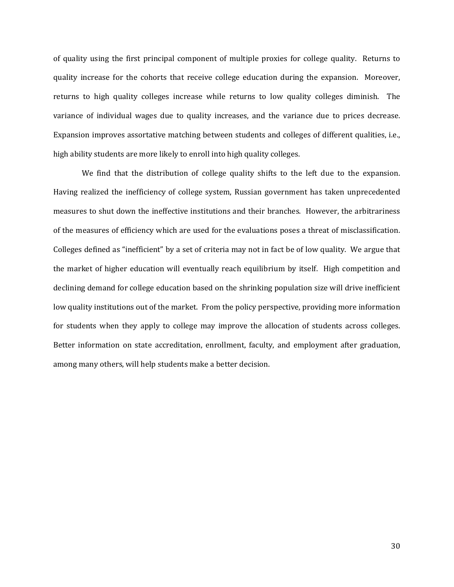of quality using the first principal component of multiple proxies for college quality. Returns to quality increase for the cohorts that receive college education during the expansion. Moreover, returns to high quality colleges increase while returns to low quality colleges diminish. The variance of individual wages due to quality increases, and the variance due to prices decrease. Expansion improves assortative matching between students and colleges of different qualities, i.e., high ability students are more likely to enroll into high quality colleges.

We find that the distribution of college quality shifts to the left due to the expansion. Having realized the inefficiency of college system, Russian government has taken unprecedented measures to shut down the ineffective institutions and their branches. However, the arbitrariness of the measures of efficiency which are used for the evaluations poses a threat of misclassification. Colleges defined as "inefficient" by a set of criteria may not in fact be of low quality. We argue that the market of higher education will eventually reach equilibrium by itself. High competition and declining demand for college education based on the shrinking population size will drive inefficient low quality institutions out of the market. From the policy perspective, providing more information for students when they apply to college may improve the allocation of students across colleges. Better information on state accreditation, enrollment, faculty, and employment after graduation, among many others, will help students make a better decision.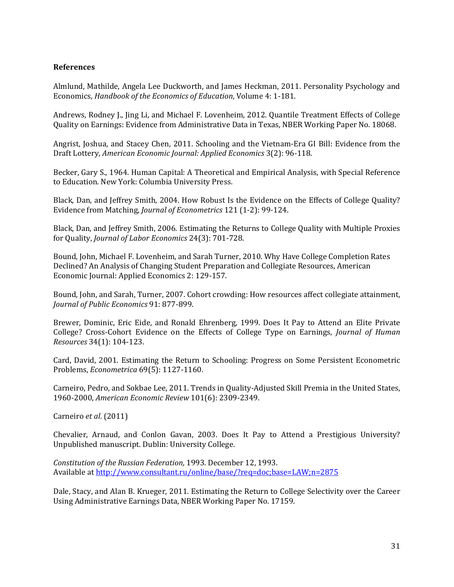# **References**

Almlund, Mathilde, Angela Lee Duckworth, and James Heckman, 2011. Personality Psychology and Economics, *Handbook of the Economics of Education*, Volume 4: 1‐181. 

Andrews, Rodney J., Jing Li, and Michael F. Lovenheim, 2012. Quantile Treatment Effects of College Quality on Earnings: Evidence from Administrative Data in Texas, NBER Working Paper No. 18068.

Angrist, Joshua, and Stacey Chen, 2011. Schooling and the Vietnam-Era GI Bill: Evidence from the Draft Lottery, *American Economic Journal: Applied Economics* 3(2): 96‐118. 

Becker, Gary S., 1964. Human Capital: A Theoretical and Empirical Analysis, with Special Reference to Education. New York: Columbia University Press.

Black, Dan, and Jeffrey Smith, 2004. How Robust Is the Evidence on the Effects of College Ouality? Evidence from Matching, *Journal of Econometrics* 121 (1-2): 99-124.

Black, Dan, and Jeffrey Smith, 2006. Estimating the Returns to College Quality with Multiple Proxies for Quality, *Journal of Labor Economics* 24(3): 701‐728. 

Bound, John, Michael F. Lovenheim, and Sarah Turner, 2010. Why Have College Completion Rates Declined? An Analysis of Changing Student Preparation and Collegiate Resources, American Economic Journal: Applied Economics 2: 129-157.

Bound, John, and Sarah, Turner, 2007. Cohort crowding: How resources affect collegiate attainment, *Journal of Public Economics* 91: 877‐899. 

Brewer. Dominic, Eric Eide, and Ronald Ehrenberg, 1999. Does It Pay to Attend an Elite Private College? Cross‐Cohort Evidence on the Effects of College Type on Earnings, *Journal of Human Resources* 34(1): 104‐123. 

Card, David, 2001. Estimating the Return to Schooling: Progress on Some Persistent Econometric Problems, *Econometrica* 69(5): 1127‐1160. 

Carneiro, Pedro, and Sokbae Lee, 2011. Trends in Quality-Adjusted Skill Premia in the United States, 1960‐2000, *American Economic Review* 101(6): 2309‐2349. 

Carneiro *et al*. (2011) 

Chevalier, Arnaud, and Conlon Gavan, 2003. Does It Pay to Attend a Prestigious University? Unpublished manuscript. Dublin: University College.

*Constitution of the Russian Federation*, 1993. December 12, 1993. Available at http://www.consultant.ru/online/base/?req=doc;base=LAW;n=2875

Dale, Stacy, and Alan B. Krueger, 2011. Estimating the Return to College Selectivity over the Career Using Administrative Earnings Data, NBER Working Paper No. 17159.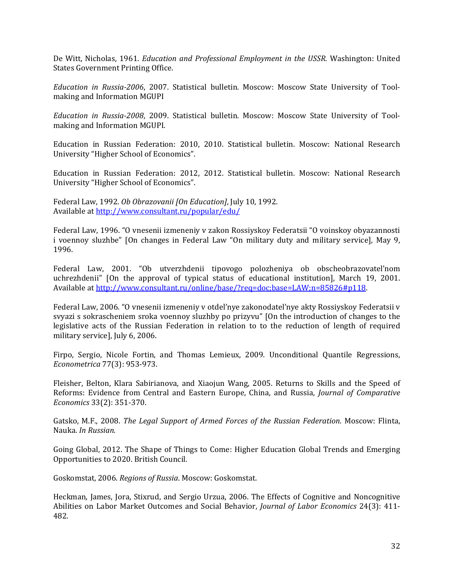De Witt, Nicholas, 1961. *Education and Professional Employment in the USSR*. Washington: United States Government Printing Office.

*Education in Russia‐2006*, 2007. Statistical bulletin. Moscow: Moscow State University of Tool‐ making and Information MGUPI

*Education in Russia‐2008*, 2009. Statistical bulletin. Moscow: Moscow State University of Tool‐ making and Information MGUPI.

Education in Russian Federation: 2010, 2010. Statistical bulletin. Moscow: National Research University "Higher School of Economics".

Education in Russian Federation: 2012, 2012. Statistical bulletin. Moscow: National Research University "Higher School of Economics".

Federal Law, 1992. *Ob Obrazovanii* [On *Education*], July 10, 1992. Available at http://www.consultant.ru/popular/edu/

Federal Law, 1996. "O vnesenii izmeneniy v zakon Rossiyskoy Federatsii "O voinskoy obyazannosti i voennoy sluzhbe" [On changes in Federal Law "On military duty and military service], May 9, 1996. 

Federal Law, 2001. "Ob utverzhdenii tipovogo polozheniya ob obscheobrazovatel'nom uchrezhdenii" [On the approval of typical status of educational institution], March 19, 2001. Available at http://www.consultant.ru/online/base/?req=doc;base=LAW;n=85826#p118.

Federal Law, 2006. "O vnesenii izmeneniy v otdel'nye zakonodatel'nye akty Rossiyskoy Federatsii v svyazi s sokrascheniem sroka voennoy sluzhby po prizyvu" [On the introduction of changes to the legislative acts of the Russian Federation in relation to to the reduction of length of required military service], July 6, 2006.

Firpo, Sergio, Nicole Fortin, and Thomas Lemieux, 2009. Unconditional Quantile Regressions, *Econometrica* 77(3): 953‐973. 

Fleisher, Belton, Klara Sabirianova, and Xiaojun Wang, 2005. Returns to Skills and the Speed of Reforms: Evidence from Central and Eastern Europe, China, and Russia, *Journal of Comparative Economics* 33(2): 351‐370. 

Gatsko, M.F., 2008. *The Legal Support of Armed Forces of the Russian Federation*. Moscow: Flinta, Nauka. *In Russian.*

Going Global, 2012. The Shape of Things to Come: Higher Education Global Trends and Emerging Opportunities to 2020. British Council.

Goskomstat, 2006. *Regions of Russia*. Moscow: Goskomstat.

Heckman, James, Jora, Stixrud, and Sergio Urzua, 2006. The Effects of Cognitive and Noncognitive Abilities on Labor Market Outcomes and Social Behavior, *Journal of Labor Economics* 24(3): 411‐ 482.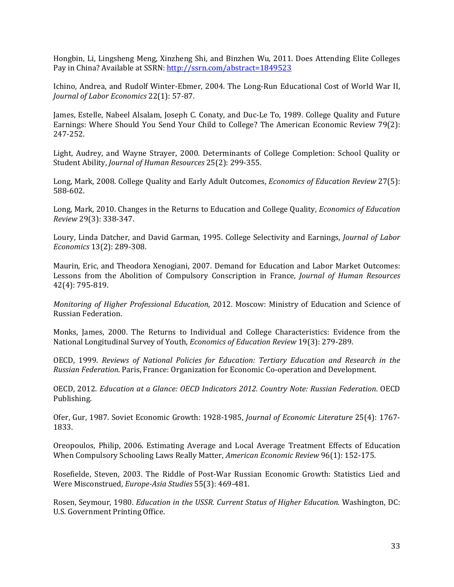Hongbin, Li, Lingsheng Meng, Xinzheng Shi, and Binzhen Wu, 2011. Does Attending Elite Colleges Pay in China? Available at SSRN: http://ssrn.com/abstract=1849523

Ichino, Andrea, and Rudolf Winter-Ebmer, 2004. The Long-Run Educational Cost of World War II, *Journal of Labor Economics* 22(1): 57‐87. 

James, Estelle, Nabeel Alsalam, Joseph C. Conaty, and Duc-Le To, 1989. College Quality and Future Earnings: Where Should You Send Your Child to College? The American Economic Review 79(2): 247‐252. 

Light, Audrey, and Wayne Strayer, 2000. Determinants of College Completion: School Quality or Student Ability, *Journal of Human Resources* 25(2): 299-355.

Long, Mark, 2008. College Quality and Early Adult Outcomes, *Economics of Education Review* 27(5): 588‐602. 

Long, Mark, 2010. Changes in the Returns to Education and College Quality, *Economics of Education Review* 29(3): 338‐347. 

Loury, Linda Datcher, and David Garman, 1995. College Selectivity and Earnings, *Journal of Labor Economics* 13(2): 289‐308. 

Maurin, Eric, and Theodora Xenogiani, 2007. Demand for Education and Labor Market Outcomes: Lessons from the Abolition of Compulsory Conscription in France, *Journal of Human Resources* 42(4): 795‐819. 

*Monitoring of Higher Professional Education, 2012. Moscow: Ministry of Education and Science of* Russian Federation. 

Monks, James, 2000. The Returns to Individual and College Characteristics: Evidence from the National Longitudinal Survey of Youth, *Economics of Education Review* 19(3): 279-289.

OECD, 1999. *Reviews of National Policies for Education: Tertiary Education and Research in the Russian Federation*. Paris, France: Organization for Economic Co-operation and Development.

OECD, 2012. *Education at a Glance: OECD Indicators 2012. Country Note: Russian Federation*. OECD Publishing. 

Ofer, Gur, 1987. Soviet Economic Growth: 1928-1985, *Journal of Economic Literature* 25(4): 1767-1833. 

Oreopoulos, Philip, 2006. Estimating Average and Local Average Treatment Effects of Education When Compulsory Schooling Laws Really Matter, *American Economic Review* 96(1): 152-175.

Rosefielde, Steven, 2003. The Riddle of Post-War Russian Economic Growth: Statistics Lied and Were Misconstrued, *Europe-Asia Studies* 55(3): 469-481.

Rosen, Seymour, 1980. *Education in the USSR. Current Status of Higher Education*. Washington, DC: U.S. Government Printing Office.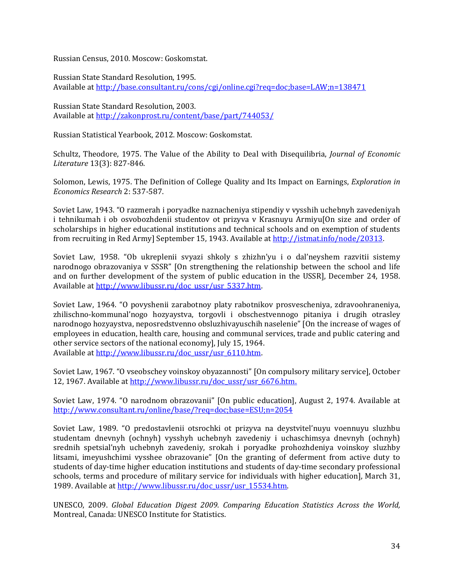Russian Census, 2010. Moscow: Goskomstat. 

Russian State Standard Resolution, 1995. Available at http://base.consultant.ru/cons/cgi/online.cgi?req=doc;base=LAW;n=138471

Russian State Standard Resolution, 2003. Available at http://zakonprost.ru/content/base/part/744053/

Russian Statistical Yearbook, 2012. Moscow: Goskomstat.

Schultz, Theodore, 1975. The Value of the Ability to Deal with Disequilibria, *Journal of Economic Literature* 13(3): 827‐846. 

Solomon, Lewis, 1975. The Definition of College Quality and Its Impact on Earnings, *Exploration* in *Economics Research* 2: 537‐587. 

Soviet Law, 1943. "O razmerah i poryadke naznacheniya stipendiy v vysshih uchebnyh zavedeniyah i tehnikumah i ob osvobozhdenii studentov ot prizyva v Krasnuyu Armiyu[On size and order of scholarships in higher educational institutions and technical schools and on exemption of students from recruiting in Red Army] September 15, 1943. Available at http://istmat.info/node/20313.

Soviet Law, 1958. "Ob ukreplenii svyazi shkoly s zhizhn'yu i o dal'neyshem razvitii sistemy narodnogo obrazovaniya v SSSR" [On strengthening the relationship between the school and life and on further development of the system of public education in the USSR], December 24, 1958. Available at http://www.libussr.ru/doc\_ussr/usr\_5337.htm.

Soviet Law, 1964. "O povyshenii zarabotnov platy rabotnikov prosvescheniya, zdravoohraneniya, zhilischno-kommunal'nogo hozyaystva, torgovli i obschestvennogo pitaniya i drugih otrasley narodnogo hozyaystva, neposredstvenno obsluzhivayuschih naselenie" [On the increase of wages of employees in education, health care, housing and communal services, trade and public catering and other service sectors of the national economy], July 15, 1964. Available at http://www.libussr.ru/doc\_ussr/usr\_6110.htm.

Soviet Law, 1967. "O vseobschey voinskoy obyazannosti" [On compulsory military service], October 12, 1967. Available at http://www.libussr.ru/doc\_ussr/usr\_6676.htm.

Soviet Law, 1974. "O narodnom obrazovanii" [On public education], August 2, 1974. Available at http://www.consultant.ru/online/base/?req=doc;base=ESU;n=2054 

Soviet Law, 1989. "O predostavlenii otsrochki ot prizyva na deystvitel'nuyu voennuyu sluzhbu studentam dnevnyh (ochnyh) vysshyh uchebnyh zavedeniy i uchaschimsya dnevnyh (ochnyh) srednih spetsial'nyh uchebnyh zavedeniy, srokah i poryadke prohozhdeniya voinskoy sluzhby litsami, imeyushchimi vysshee obrazovanie" [On the granting of deferment from active duty to students of day-time higher education institutions and students of day-time secondary professional schools, terms and procedure of military service for individuals with higher education], March 31, 1989. Available at http://www.libussr.ru/doc\_ussr/usr\_15534.htm.

UNESCO, 2009. *Global Education Digest 2009. Comparing Education Statistics Across the World,* Montreal, Canada: UNESCO Institute for Statistics.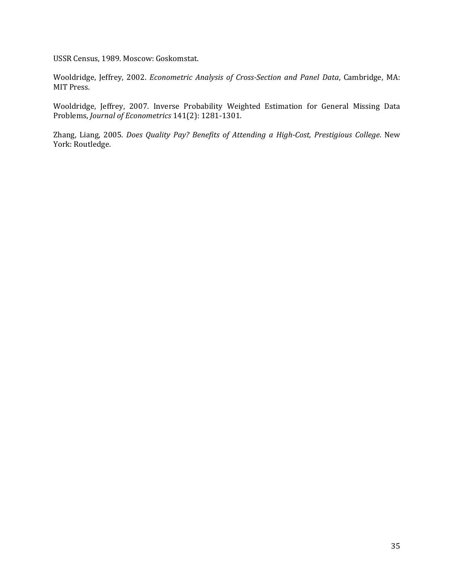USSR Census, 1989. Moscow: Goskomstat.

Wooldridge, Jeffrey, 2002. *Econometric Analysis of Cross‐Section and Panel Data*, Cambridge, MA: MIT Press.

Wooldridge, Jeffrey, 2007. Inverse Probability Weighted Estimation for General Missing Data Problems, *Journal of Econometrics* 141(2): 1281-1301.

Zhang, Liang, 2005. *Does Quality Pay? Benefits of Attending a High‐Cost, Prestigious College*. New York: Routledge.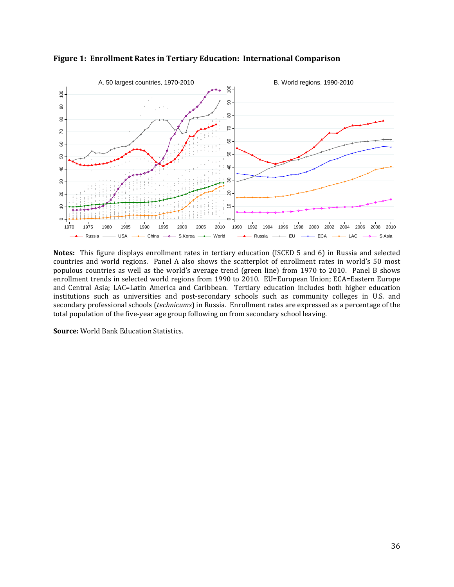

**Figure 1: Enrollment Rates in Tertiary Education: International Comparison**

**Notes:** This figure displays enrollment rates in tertiary education (ISCED 5 and 6) in Russia and selected countries and world regions. Panel A also shows the scatterplot of enrollment rates in world's 50 most populous countries as well as the world's average trend (green line) from 1970 to 2010. Panel B shows enrollment trends in selected world regions from 1990 to 2010. EU=European Union; ECA=Eastern Europe and Central Asia; LAC=Latin America and Caribbean. Tertiary education includes both higher education institutions such as universities and post-secondary schools such as community colleges in U.S. and secondary professional schools (*technicums*) in Russia. Enrollment rates are expressed as a percentage of the total population of the five-year age group following on from secondary school leaving.

**Source:** World Bank Education Statistics.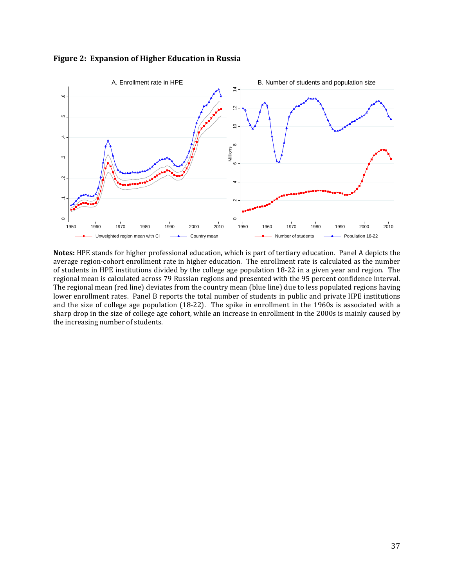

**Figure 2: Expansion of Higher Education in Russia**

Notes: HPE stands for higher professional education, which is part of tertiary education. Panel A depicts the average region-cohort enrollment rate in higher education. The enrollment rate is calculated as the number of students in HPE institutions divided by the college age population 18-22 in a given year and region. The regional mean is calculated across 79 Russian regions and presented with the 95 percent confidence interval. The regional mean (red line) deviates from the country mean (blue line) due to less populated regions having lower enrollment rates. Panel B reports the total number of students in public and private HPE institutions and the size of college age population  $(18-22)$ . The spike in enrollment in the 1960s is associated with a sharp drop in the size of college age cohort, while an increase in enrollment in the 2000s is mainly caused by the increasing number of students.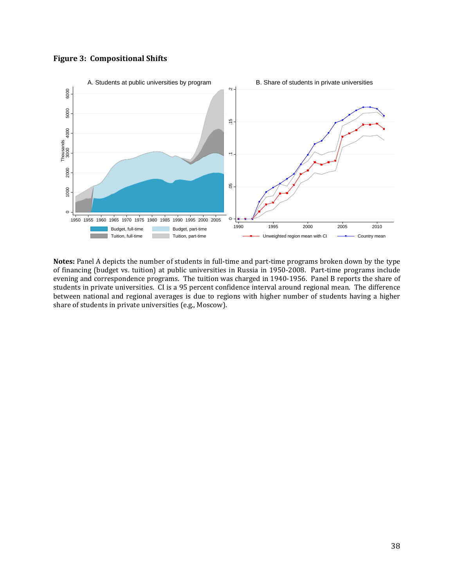



**Notes:** Panel A depicts the number of students in full-time and part-time programs broken down by the type of financing (budget vs. tuition) at public universities in Russia in 1950-2008. Part-time programs include evening and correspondence programs. The tuition was charged in 1940-1956. Panel B reports the share of students in private universities. CI is a 95 percent confidence interval around regional mean. The difference between national and regional averages is due to regions with higher number of students having a higher share of students in private universities (e.g., Moscow).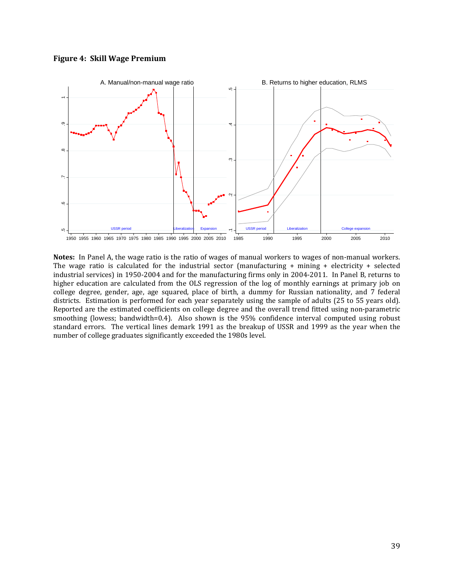



**Notes:** In Panel A, the wage ratio is the ratio of wages of manual workers to wages of non-manual workers. The wage ratio is calculated for the industrial sector (manufacturing  $+$  mining  $+$  electricity  $+$  selected industrial services) in 1950-2004 and for the manufacturing firms only in 2004-2011. In Panel B, returns to higher education are calculated from the OLS regression of the log of monthly earnings at primary job on college degree, gender, age, age squared, place of birth, a dummy for Russian nationality, and 7 federal districts. Estimation is performed for each year separately using the sample of adults (25 to 55 years old). Reported are the estimated coefficients on college degree and the overall trend fitted using non-parametric smoothing (lowess; bandwidth=0.4). Also shown is the 95% confidence interval computed using robust standard errors. The vertical lines demark 1991 as the breakup of USSR and 1999 as the year when the number of college graduates significantly exceeded the 1980s level.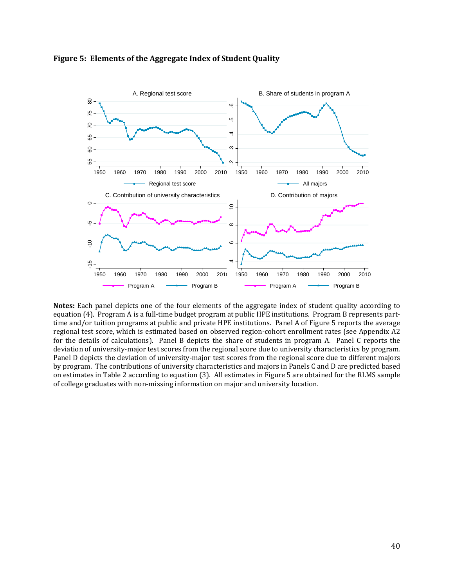



**Notes:** Each panel depicts one of the four elements of the aggregate index of student quality according to equation (4). Program A is a full-time budget program at public HPE institutions. Program B represents parttime and/or tuition programs at public and private HPE institutions. Panel A of Figure 5 reports the average regional test score, which is estimated based on observed region-cohort enrollment rates (see Appendix A2 for the details of calculations). Panel B depicts the share of students in program A. Panel C reports the deviation of university-major test scores from the regional score due to university characteristics by program. Panel D depicts the deviation of university-major test scores from the regional score due to different majors by program. The contributions of university characteristics and majors in Panels C and D are predicted based on estimates in Table 2 according to equation (3). All estimates in Figure 5 are obtained for the RLMS sample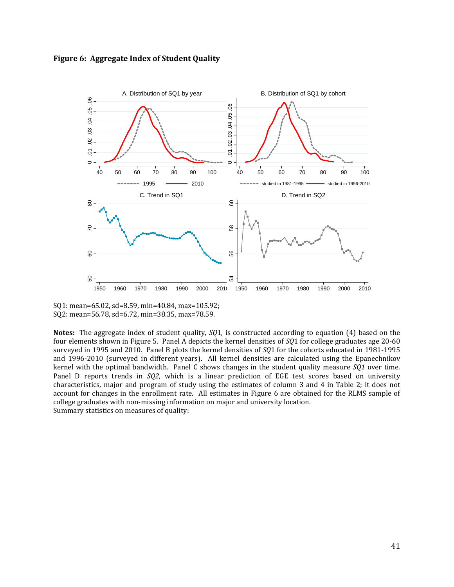



SQ1: mean=65.02, sd=8.59, min=40.84, max=105.92; SQ2: mean=56.78, sd=6.72, min=38.35, max=78.59.

**Notes:** The aggregate index of student quality, *SQ*1, is constructed according to equation (4) based on the four elements shown in Figure 5. Panel A depicts the kernel densities of  $SQ1$  for college graduates age 20-60 surveyed in 1995 and 2010. Panel B plots the kernel densities of *SQ*1 for the cohorts educated in 1981-1995 and 1996-2010 (surveyed in different years). All kernel densities are calculated using the Epanechnikov kernel with the optimal bandwidth. Panel C shows changes in the student quality measure  $\overline{SQ1}$  over time. Panel D reports trends in *SQ2*, which is a linear prediction of EGE test scores based on university characteristics, major and program of study using the estimates of column 3 and 4 in Table 2; it does not account for changes in the enrollment rate. All estimates in Figure 6 are obtained for the RLMS sample of college graduates with non-missing information on major and university location. Summary statistics on measures of quality: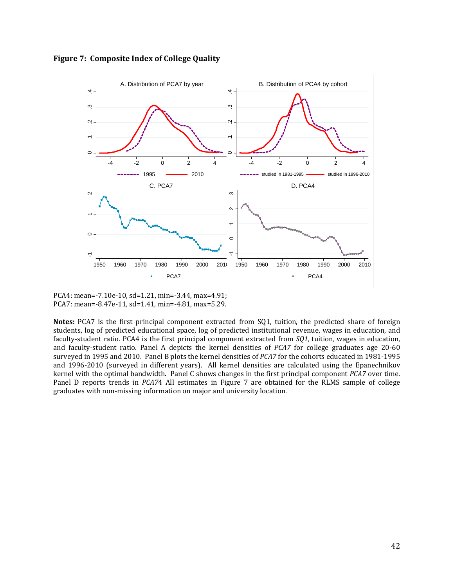



PCA4: mean=-7.10e-10, sd=1.21, min=-3.44, max=4.91; PCA7: mean=-8.47e-11, sd=1.41, min=-4.81, max=5.29.

**Notes:** PCA7 is the first principal component extracted from SQ1, tuition, the predicted share of foreign students, log of predicted educational space, log of predicted institutional revenue, wages in education, and faculty-student ratio. PCA4 is the first principal component extracted from *SQ1*, tuition, wages in education, and faculty-student ratio. Panel A depicts the kernel densities of *PCA7* for college graduates age 20-60 surveyed in 1995 and 2010. Panel B plots the kernel densities of *PCA7* for the cohorts educated in 1981-1995 and 1996-2010 (surveyed in different years). All kernel densities are calculated using the Epanechnikov kernel with the optimal bandwidth. Panel C shows changes in the first principal component *PCA7* over time. Panel D reports trends in *PCA74* All estimates in Figure 7 are obtained for the RLMS sample of college graduates with non-missing information on major and university location.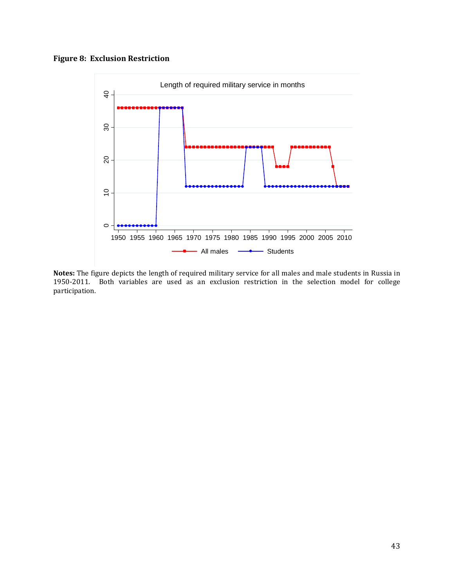# **Figure 8: Exclusion Restriction**



Notes: The figure depicts the length of required military service for all males and male students in Russia in 1950-2011. Both variables are used as an exclusion restriction in the selection model for college participation.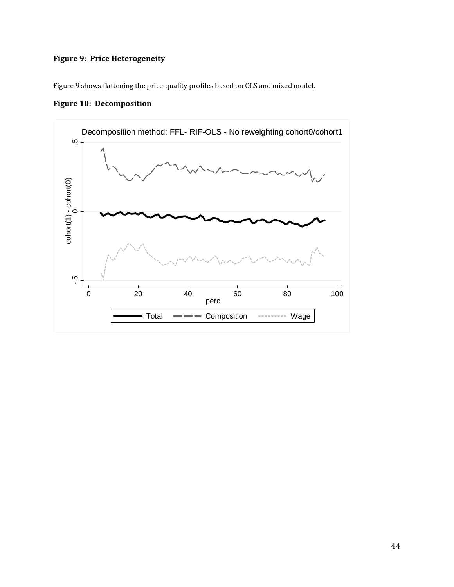# **Figure 9: Price Heterogeneity**

Figure 9 shows flattening the price-quality profiles based on OLS and mixed model.

**Figure 10: Decomposition** 

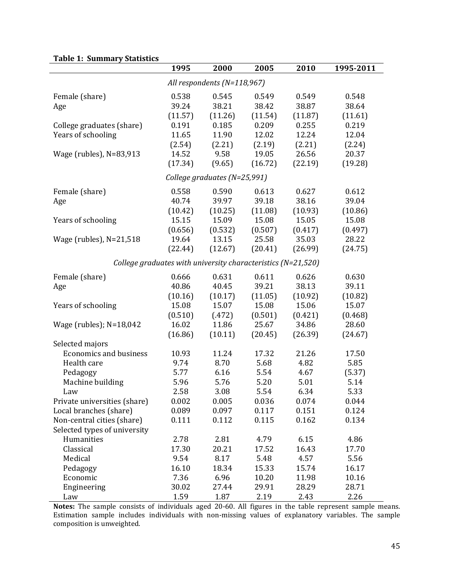|                                                              | 1995    | 2000                            | 2005    | 2010    | 1995-2011 |
|--------------------------------------------------------------|---------|---------------------------------|---------|---------|-----------|
|                                                              |         | All respondents ( $N=118,967$ ) |         |         |           |
| Female (share)                                               | 0.538   | 0.545                           | 0.549   | 0.549   | 0.548     |
| Age                                                          | 39.24   | 38.21                           | 38.42   | 38.87   | 38.64     |
|                                                              | (11.57) | (11.26)                         | (11.54) | (11.87) | (11.61)   |
| College graduates (share)                                    | 0.191   | 0.185                           | 0.209   | 0.255   | 0.219     |
| Years of schooling                                           | 11.65   | 11.90                           | 12.02   | 12.24   | 12.04     |
|                                                              | (2.54)  | (2.21)                          | (2.19)  | (2.21)  | (2.24)    |
| Wage (rubles), N=83,913                                      | 14.52   | 9.58                            | 19.05   | 26.56   | 20.37     |
|                                                              | (17.34) | (9.65)                          | (16.72) | (22.19) | (19.28)   |
|                                                              |         | College graduates (N=25,991)    |         |         |           |
| Female (share)                                               | 0.558   | 0.590                           | 0.613   | 0.627   | 0.612     |
| Age                                                          | 40.74   | 39.97                           | 39.18   | 38.16   | 39.04     |
|                                                              | (10.42) | (10.25)                         | (11.08) | (10.93) | (10.86)   |
| Years of schooling                                           | 15.15   | 15.09                           | 15.08   | 15.05   | 15.08     |
|                                                              | (0.656) | (0.532)                         | (0.507) | (0.417) | (0.497)   |
| Wage (rubles), N=21,518                                      | 19.64   | 13.15                           | 25.58   | 35.03   | 28.22     |
|                                                              | (22.44) | (12.67)                         | (20.41) | (26.99) | (24.75)   |
| College graduates with university characteristics (N=21,520) |         |                                 |         |         |           |
| Female (share)                                               | 0.666   | 0.631                           | 0.611   | 0.626   | 0.630     |
| Age                                                          | 40.86   | 40.45                           | 39.21   | 38.13   | 39.11     |
|                                                              | (10.16) | (10.17)                         | (11.05) | (10.92) | (10.82)   |
| Years of schooling                                           | 15.08   | 15.07                           | 15.08   | 15.06   | 15.07     |
|                                                              | (0.510) | (.472)                          | (0.501) | (0.421) | (0.468)   |
| Wage (rubles); N=18,042                                      | 16.02   | 11.86                           | 25.67   | 34.86   | 28.60     |
|                                                              | (16.86) | (10.11)                         | (20.45) | (26.39) | (24.67)   |
| Selected majors                                              |         |                                 |         |         |           |
| <b>Economics and business</b>                                | 10.93   | 11.24                           | 17.32   | 21.26   | 17.50     |
| Health care                                                  | 9.74    | 8.70                            | 5.68    | 4.82    | 5.85      |
| Pedagogy                                                     | 5.77    | 6.16                            | 5.54    | 4.67    | (5.37)    |
| Machine building                                             | 5.96    | 5.76                            | 5.20    | 5.01    | 5.14      |
| Law                                                          | 2.58    | 3.08                            | 5.54    | 6.34    | 5.33      |
| Private universities (share)                                 | 0.002   | 0.005                           | 0.036   | 0.074   | 0.044     |
| Local branches (share)                                       | 0.089   | 0.097                           | 0.117   | 0.151   | 0.124     |
| Non-central cities (share)                                   | 0.111   | 0.112                           | 0.115   | 0.162   | 0.134     |
| Selected types of university                                 |         |                                 |         |         |           |
| Humanities                                                   | 2.78    | 2.81                            | 4.79    | 6.15    | 4.86      |
| Classical                                                    | 17.30   | 20.21                           | 17.52   | 16.43   | 17.70     |
| Medical                                                      | 9.54    | 8.17                            | 5.48    | 4.57    | 5.56      |
| Pedagogy                                                     | 16.10   | 18.34                           | 15.33   | 15.74   | 16.17     |
| Economic                                                     | 7.36    | 6.96                            | 10.20   | 11.98   | 10.16     |
| Engineering                                                  | 30.02   | 27.44                           | 29.91   | 28.29   | 28.71     |
| Law                                                          | 1.59    | 1.87                            | 2.19    | 2.43    | 2.26      |

**Notes:** The sample consists of individuals aged 20-60. All figures in the table represent sample means. Estimation sample includes individuals with non-missing values of explanatory variables. The sample composition is unweighted.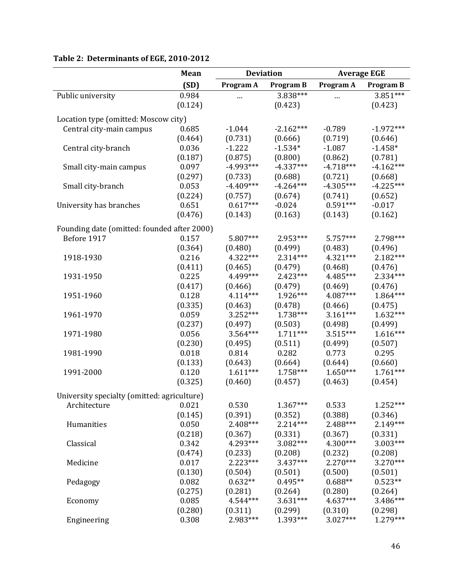|                                                                  | Mean    | <b>Deviation</b> |                  | <b>Average EGE</b> |                  |
|------------------------------------------------------------------|---------|------------------|------------------|--------------------|------------------|
|                                                                  | (SD)    | Program A        | <b>Program B</b> | Program A          | <b>Program B</b> |
| Public university                                                | 0.984   |                  | 3.838***         |                    | 3.851***         |
|                                                                  | (0.124) |                  | (0.423)          |                    | (0.423)          |
|                                                                  |         |                  |                  |                    |                  |
| Location type (omitted: Moscow city)<br>Central city-main campus | 0.685   | $-1.044$         | $-2.162***$      | $-0.789$           | $-1.972***$      |
|                                                                  | (0.464) | (0.731)          | (0.666)          | (0.719)            | (0.646)          |
| Central city-branch                                              | 0.036   | $-1.222$         | $-1.534*$        | $-1.087$           | $-1.458*$        |
|                                                                  | (0.187) | (0.875)          | (0.800)          | (0.862)            | (0.781)          |
| Small city-main campus                                           | 0.097   | $-4.993***$      | $-4.337***$      | $-4.718***$        | $-4.162***$      |
|                                                                  | (0.297) | (0.733)          | (0.688)          | (0.721)            | (0.668)          |
| Small city-branch                                                | 0.053   | $-4.409***$      | $-4.264***$      | $-4.305***$        | $-4.225***$      |
|                                                                  | (0.224) | (0.757)          | (0.674)          | (0.741)            | (0.652)          |
| University has branches                                          | 0.651   | $0.617***$       | $-0.024$         | $0.591***$         | $-0.017$         |
|                                                                  | (0.476) | (0.143)          | (0.163)          | (0.143)            | (0.162)          |
|                                                                  |         |                  |                  |                    |                  |
| Founding date (omitted: founded after 2000)                      |         |                  |                  |                    |                  |
| Before 1917                                                      | 0.157   | 5.807***         | 2.953***         | $5.757***$         | 2.798***         |
|                                                                  | (0.364) | (0.480)          | (0.499)          | (0.483)            | (0.496)          |
| 1918-1930                                                        | 0.216   | 4.322***         | $2.314***$       | $4.321***$         | 2.182***         |
|                                                                  | (0.411) | (0.465)          | (0.479)          | (0.468)            | (0.476)          |
| 1931-1950                                                        | 0.225   | 4.499***         | $2.423***$       | 4.485***           | 2.334***         |
|                                                                  | (0.417) | (0.466)          | (0.479)          | (0.469)            | (0.476)          |
| 1951-1960                                                        | 0.128   | 4.114***         | 1.926***         | 4.087***           | 1.864***         |
|                                                                  | (0.335) | (0.463)          | (0.478)          | (0.466)            | (0.475)          |
| 1961-1970                                                        | 0.059   | 3.252***         | 1.738***         | $3.161***$         | $1.632***$       |
|                                                                  | (0.237) | (0.497)          | (0.503)          | (0.498)            | (0.499)          |
| 1971-1980                                                        | 0.056   | 3.564***         | $1.711***$       | $3.515***$         | $1.616***$       |
|                                                                  | (0.230) | (0.495)          | (0.511)          | (0.499)            | (0.507)          |
| 1981-1990                                                        | 0.018   | 0.814            | 0.282            | 0.773              | 0.295            |
|                                                                  | (0.133) | (0.643)          | (0.664)          | (0.644)            | (0.660)          |
| 1991-2000                                                        | 0.120   | $1.611***$       | 1.758***         | $1.650***$         | $1.761***$       |
|                                                                  | (0.325) | (0.460)          | (0.457)          | (0.463)            | (0.454)          |
| University specialty (omitted: agriculture)                      |         |                  |                  |                    |                  |
| Architecture                                                     | 0.021   | 0.530            | 1.367***         | 0.533              | 1.252***         |
|                                                                  | (0.145) | (0.391)          | (0.352)          | (0.388)            | (0.346)          |
| Humanities                                                       | 0.050   | 2.408***         | 2.214***         | 2.488***           | 2.149***         |
|                                                                  | (0.218) | (0.367)          | (0.331)          | (0.367)            | (0.331)          |
| Classical                                                        | 0.342   | 4.293***         | 3.082***         | $4.300***$         | $3.003***$       |
|                                                                  | (0.474) | (0.233)          | (0.208)          | (0.232)            | (0.208)          |
| Medicine                                                         | 0.017   | $2.223***$       | $3.437***$       | $2.270***$         | $3.270***$       |
|                                                                  | (0.130) | (0.504)          | (0.501)          | (0.500)            | (0.501)          |
| Pedagogy                                                         | 0.082   | $0.632**$        | $0.495**$        | $0.688**$          | $0.523**$        |
|                                                                  | (0.275) | (0.281)          | (0.264)          | (0.280)            | (0.264)          |
| Economy                                                          | 0.085   | 4.544***         | $3.631***$       | 4.637***           | 3.486***         |
|                                                                  | (0.280) | (0.311)          | (0.299)          | (0.310)            | (0.298)          |
| Engineering                                                      | 0.308   | 2.983***         | 1.393***         | 3.027***           | 1.279***         |

# **Table 2: Determinants of EGE, 2010‐2012**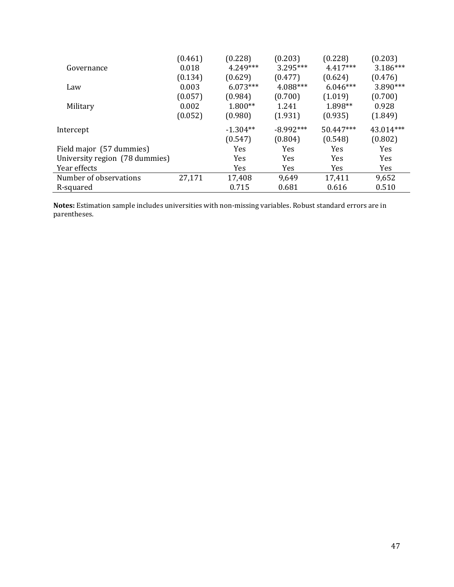| (0.461)                        | (0.228)    | (0.203)     | (0.228)    | (0.203)    |
|--------------------------------|------------|-------------|------------|------------|
| 0.018                          | $4.249***$ | $3.295***$  | $4.417***$ | $3.186***$ |
| (0.134)                        | (0.629)    | (0.477)     | (0.624)    | (0.476)    |
| 0.003                          | $6.073***$ | 4.088***    | $6.046***$ | 3.890***   |
| (0.057)                        | (0.984)    | (0.700)     | (1.019)    | (0.700)    |
| 0.002                          | $1.800**$  | 1.241       | 1.898**    | 0.928      |
| (0.052)                        | (0.980)    | (1.931)     | (0.935)    | (1.849)    |
|                                | $-1.304**$ | $-8.992***$ | 50.447***  | 43.014***  |
|                                | (0.547)    | (0.804)     | (0.548)    | (0.802)    |
|                                | Yes        | Yes         | Yes        | Yes        |
| University region (78 dummies) | Yes        | Yes         | Yes        | Yes        |
|                                | Yes        | <b>Yes</b>  | <b>Yes</b> | Yes        |
| 27,171                         | 17,408     | 9,649       | 17,411     | 9,652      |
|                                | 0.715      | 0.681       | 0.616      | 0.510      |
|                                |            |             |            |            |

Notes: Estimation sample includes universities with non-missing variables. Robust standard errors are in parentheses.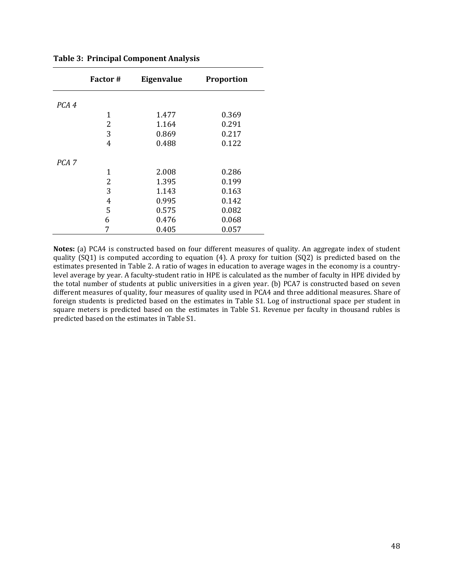|                  | <b>Factor</b> # | <b>Eigenvalue</b> | <b>Proportion</b> |
|------------------|-----------------|-------------------|-------------------|
| PCA 4            |                 |                   |                   |
|                  | 1               | 1.477             | 0.369             |
|                  | 2               | 1.164             | 0.291             |
|                  | 3               | 0.869             | 0.217             |
|                  | 4               | 0.488             | 0.122             |
| PCA <sub>7</sub> |                 |                   |                   |
|                  | 1               | 2.008             | 0.286             |
|                  | 2               | 1.395             | 0.199             |
|                  | 3               | 1.143             | 0.163             |
|                  | 4               | 0.995             | 0.142             |
|                  | 5               | 0.575             | 0.082             |
|                  | 6               | 0.476             | 0.068             |
|                  | 7               | 0.405             | 0.057             |

**Table 3: Principal Component Analysis** 

Notes: (a) PCA4 is constructed based on four different measures of quality. An aggregate index of student quality  $(SQ1)$  is computed according to equation  $(4)$ . A proxy for tuition  $(SQ2)$  is predicted based on the estimates presented in Table 2. A ratio of wages in education to average wages in the economy is a countrylevel average by year. A faculty-student ratio in HPE is calculated as the number of faculty in HPE divided by the total number of students at public universities in a given year. (b) PCA7 is constructed based on seven different measures of quality, four measures of quality used in PCA4 and three additional measures. Share of foreign students is predicted based on the estimates in Table S1. Log of instructional space per student in square meters is predicted based on the estimates in Table S1. Revenue per faculty in thousand rubles is predicted based on the estimates in Table S1.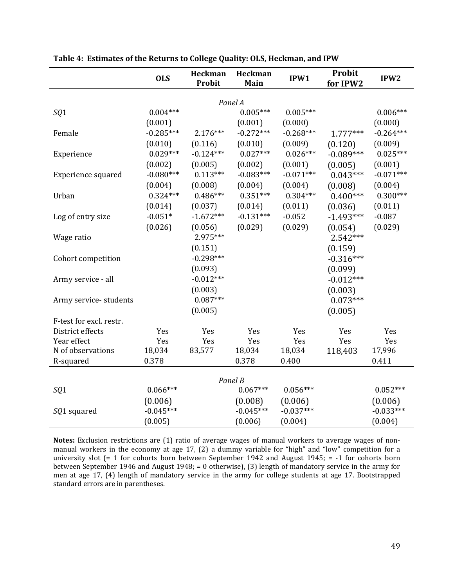|                         | <b>OLS</b>             | Heckman<br>Probit      | Heckman<br>Main        | IPW1                   | Probit<br>for IPW2 | IPW <sub>2</sub>       |
|-------------------------|------------------------|------------------------|------------------------|------------------------|--------------------|------------------------|
|                         |                        |                        |                        |                        |                    |                        |
| SQ1                     | $0.004***$             |                        | Panel A<br>$0.005***$  | $0.005***$             |                    | $0.006***$             |
|                         |                        |                        |                        |                        |                    |                        |
| Female                  | (0.001)<br>$-0.285***$ | $2.176***$             | (0.001)<br>$-0.272***$ | (0.000)<br>$-0.268***$ | $1.777***$         | (0.000)<br>$-0.264***$ |
|                         |                        |                        |                        |                        |                    |                        |
|                         | (0.010)<br>$0.029***$  | (0.116)<br>$-0.124***$ | (0.010)<br>$0.027***$  | (0.009)<br>$0.026***$  | (0.120)            | (0.009)<br>$0.025***$  |
| Experience              |                        |                        |                        |                        | $-0.089***$        |                        |
|                         | (0.002)                | (0.005)                | (0.002)                | (0.001)                | (0.005)            | (0.001)                |
| Experience squared      | $-0.080***$            | $0.113***$             | $-0.083***$            | $-0.071***$            | $0.043***$         | $-0.071***$            |
|                         | (0.004)                | (0.008)                | (0.004)                | (0.004)                | (0.008)            | (0.004)                |
| Urban                   | $0.324***$             | $0.486***$             | $0.351***$             | $0.304***$             | $0.400***$         | $0.300***$             |
|                         | (0.014)                | (0.037)                | (0.014)                | (0.011)                | (0.036)            | (0.011)                |
| Log of entry size       | $-0.051*$              | $-1.672***$            | $-0.131***$            | $-0.052$               | $-1.493***$        | $-0.087$               |
|                         | (0.026)                | (0.056)                | (0.029)                | (0.029)                | (0.054)            | (0.029)                |
| Wage ratio              |                        | 2.975***               |                        |                        | 2.542***           |                        |
|                         |                        | (0.151)                |                        |                        | (0.159)            |                        |
| Cohort competition      |                        | $-0.298***$            |                        |                        | $-0.316***$        |                        |
|                         |                        | (0.093)                |                        |                        | (0.099)            |                        |
| Army service - all      |                        | $-0.012***$            |                        |                        | $-0.012***$        |                        |
|                         |                        | (0.003)                |                        |                        | (0.003)            |                        |
| Army service-students   |                        | $0.087***$             |                        |                        | $0.073***$         |                        |
|                         |                        | (0.005)                |                        |                        | (0.005)            |                        |
| F-test for excl. restr. |                        |                        |                        |                        |                    |                        |
| District effects        | Yes                    | Yes                    | Yes                    | Yes                    | Yes                | Yes                    |
| Year effect             | Yes                    | Yes                    | Yes                    | Yes                    | Yes                | Yes                    |
| N of observations       | 18,034                 | 83,577                 | 18,034                 | 18,034                 | 118,403            | 17,996                 |
| R-squared               | 0.378                  |                        | 0.378                  | 0.400                  |                    | 0.411                  |
|                         |                        |                        | Panel B                |                        |                    |                        |
| SQ1                     | $0.066***$             |                        | $0.067***$             | $0.056***$             |                    | $0.052***$             |
|                         |                        |                        |                        |                        |                    |                        |
|                         | (0.006)                |                        | (0.008)                | (0.006)                |                    | (0.006)                |
| SQ1 squared             | $-0.045***$            |                        | $-0.045***$            | $-0.037***$            |                    | $-0.033***$            |
|                         | (0.005)                |                        | (0.006)                | (0.004)                |                    | (0.004)                |

| Table 4: Estimates of the Returns to College Quality: OLS, Heckman, and IPW |  |  |  |
|-----------------------------------------------------------------------------|--|--|--|
|                                                                             |  |  |  |

Notes: Exclusion restrictions are (1) ratio of average wages of manual workers to average wages of nonmanual workers in the economy at age 17, (2) a dummy variable for "high" and "low" competition for a university slot  $(= 1$  for cohorts born between September 1942 and August 1945;  $= -1$  for cohorts born between September 1946 and August 1948; = 0 otherwise), (3) length of mandatory service in the army for men at age 17, (4) length of mandatory service in the army for college students at age 17. Bootstrapped standard errors are in parentheses.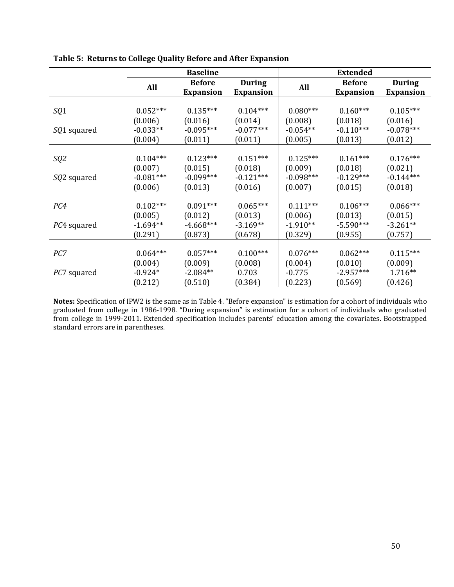|                     | <b>Baseline</b> |                  |                  | <b>Extended</b> |                  |                  |  |
|---------------------|-----------------|------------------|------------------|-----------------|------------------|------------------|--|
|                     | All             | <b>Before</b>    | <b>During</b>    | All             | <b>Before</b>    | <b>During</b>    |  |
|                     |                 | <b>Expansion</b> | <b>Expansion</b> |                 | <b>Expansion</b> | <b>Expansion</b> |  |
|                     |                 |                  |                  |                 |                  |                  |  |
| SQ1                 | $0.052***$      | $0.135***$       | $0.104***$       | $0.080***$      | $0.160***$       | $0.105***$       |  |
|                     | (0.006)         | (0.016)          | (0.014)          | (0.008)         | (0.018)          | (0.016)          |  |
| SQ1 squared         | $-0.033**$      | $-0.095***$      | $-0.077***$      | $-0.054**$      | $-0.110***$      | $-0.078***$      |  |
|                     | (0.004)         | (0.011)          | (0.011)          | (0.005)         | (0.013)          | (0.012)          |  |
|                     |                 |                  |                  |                 |                  |                  |  |
| SQ2                 | $0.104***$      | $0.123***$       | $0.151***$       | $0.125***$      | $0.161***$       | $0.176***$       |  |
|                     | (0.007)         | (0.015)          | (0.018)          | (0.009)         | (0.018)          | (0.021)          |  |
| <i>SQ</i> 2 squared | $-0.081***$     | $-0.099***$      | $-0.121***$      | $-0.098***$     | $-0.129***$      | $-0.144***$      |  |
|                     | (0.006)         | (0.013)          | (0.016)          | (0.007)         | (0.015)          | (0.018)          |  |
|                     |                 |                  |                  |                 |                  |                  |  |
| PC4                 | $0.102***$      | $0.091***$       | $0.065***$       | $0.111***$      | $0.106***$       | $0.066***$       |  |
|                     | (0.005)         | (0.012)          | (0.013)          | (0.006)         | (0.013)          | (0.015)          |  |
| PC4 squared         | $-1.694**$      | $-4.668***$      | $-3.169**$       | $-1.910**$      | $-5.590***$      | $-3.261**$       |  |
|                     | (0.291)         | (0.873)          | (0.678)          | (0.329)         | (0.955)          | (0.757)          |  |
|                     |                 |                  |                  |                 |                  |                  |  |
| PC7                 | $0.064***$      | $0.057***$       | $0.100***$       | $0.076***$      | $0.062***$       | $0.115***$       |  |
|                     | (0.004)         | (0.009)          | (0.008)          | (0.004)         | (0.010)          | (0.009)          |  |
| <i>PC7</i> squared  | $-0.924*$       | $-2.084**$       | 0.703            | $-0.775$        | $-2.957***$      | $1.716**$        |  |
|                     | (0.212)         | (0.510)          | (0.384)          | (0.223)         | (0.569)          | (0.426)          |  |

**Table 5: Returns to College Quality Before and After Expansion**

**Notes:** Specification of IPW2 is the same as in Table 4. "Before expansion" is estimation for a cohort of individuals who graduated from college in 1986-1998. "During expansion" is estimation for a cohort of individuals who graduated from college in 1999-2011. Extended specification includes parents' education among the covariates. Bootstrapped standard errors are in parentheses.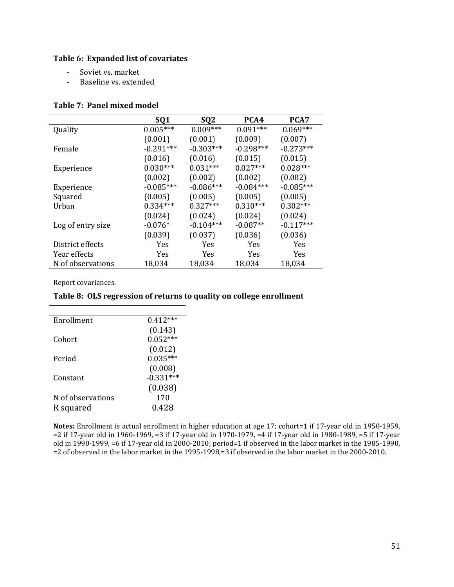## **Table 6: Expanded list of covariates**

- Soviet vs. market
- Baseline vs. extended

#### **Table 7: Panel mixed model**

|                   | SQ1         | SQ <sub>2</sub> | PCA4        | PCA7        |
|-------------------|-------------|-----------------|-------------|-------------|
| Quality           | $0.005***$  | $0.009***$      | $0.091***$  | $0.069***$  |
|                   | (0.001)     | (0.001)         | (0.009)     | (0.007)     |
| Female            | $-0.291***$ | $-0.303***$     | $-0.298***$ | $-0.273***$ |
|                   | (0.016)     | (0.016)         | (0.015)     | (0.015)     |
| Experience        | $0.030***$  | $0.031***$      | $0.027***$  | $0.028***$  |
|                   | (0.002)     | (0.002)         | (0.002)     | (0.002)     |
| Experience        | $-0.085***$ | $-0.086***$     | $-0.084***$ | $-0.085***$ |
| Squared           | (0.005)     | (0.005)         | (0.005)     | (0.005)     |
| Urban             | $0.334***$  | $0.327***$      | $0.310***$  | $0.302***$  |
|                   | (0.024)     | (0.024)         | (0.024)     | (0.024)     |
| Log of entry size | $-0.076*$   | $-0.104***$     | $-0.087**$  | $-0.117***$ |
|                   | (0.039)     | (0.037)         | (0.036)     | (0.036)     |
| District effects  | Yes         | Yes             | Yes         | Yes         |
| Year effects      | Yes         | Yes             | Yes         | Yes         |
| N of observations | 18,034      | 18,034          | 18,034      | 18,034      |

Report covariances.

### **Table 8: OLS regression of returns to quality on college enrollment**

| Enrollment        | $0.412***$  |
|-------------------|-------------|
|                   | (0.143)     |
| Cohort            | $0.052***$  |
|                   | (0.012)     |
| Period            | $0.035***$  |
|                   | (0.008)     |
| Constant          | $-0.331***$ |
|                   | (0.038)     |
| N of observations | 170         |
| R squared         | 0.428       |
|                   |             |

Notes: Enrollment is actual enrollment in higher education at age 17; cohort=1 if 17-year old in 1950-1959, =2 if 17-year old in 1960-1969, =3 if 17-year old in 1970-1979, =4 if 17-year old in 1980-1989, =5 if 17-year old in 1990-1999, =6 if 17-year old in 2000-2010; period=1 if observed in the labor market in the 1985-1990, =2 of observed in the labor market in the 1995-1998,=3 if observed in the labor market in the 2000-2010.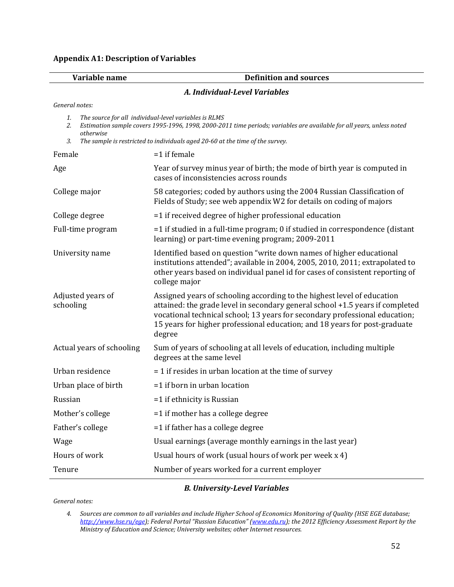|  | <b>Appendix A1: Description of Variables</b> |  |
|--|----------------------------------------------|--|
|  |                                              |  |

|  | Variable name |  |  |  |
|--|---------------|--|--|--|
|  |               |  |  |  |

### **Variable name Definition and sources**

### *A. Individual‐Level Variables*

*General notes:*

| The source for all individual-level variables is RLMS |  |
|-------------------------------------------------------|--|
|-------------------------------------------------------|--|

2. Estimation sample covers 1995-1996, 1998, 2000-2011 time periods; variables are available for all years, unless noted  $otherwise$ *3. The sample is restricted to individuals aged 20‐60 at the time of the survey.*

| Female                         | $=1$ if female                                                                                                                                                                                                                                                                                                                  |  |  |
|--------------------------------|---------------------------------------------------------------------------------------------------------------------------------------------------------------------------------------------------------------------------------------------------------------------------------------------------------------------------------|--|--|
| Age                            | Year of survey minus year of birth; the mode of birth year is computed in<br>cases of inconsistencies across rounds                                                                                                                                                                                                             |  |  |
| College major                  | 58 categories; coded by authors using the 2004 Russian Classification of<br>Fields of Study; see web appendix W2 for details on coding of majors                                                                                                                                                                                |  |  |
| College degree                 | =1 if received degree of higher professional education                                                                                                                                                                                                                                                                          |  |  |
| Full-time program              | $=$ 1 if studied in a full-time program; 0 if studied in correspondence (distant<br>learning) or part-time evening program; 2009-2011                                                                                                                                                                                           |  |  |
| University name                | Identified based on question "write down names of higher educational<br>institutions attended"; available in 2004, 2005, 2010, 2011; extrapolated to<br>other years based on individual panel id for cases of consistent reporting of<br>college major                                                                          |  |  |
| Adjusted years of<br>schooling | Assigned years of schooling according to the highest level of education<br>attained: the grade level in secondary general school +1.5 years if completed<br>vocational technical school; 13 years for secondary professional education;<br>15 years for higher professional education; and 18 years for post-graduate<br>degree |  |  |
| Actual years of schooling      | Sum of years of schooling at all levels of education, including multiple<br>degrees at the same level                                                                                                                                                                                                                           |  |  |
| Urban residence                | $=$ 1 if resides in urban location at the time of survey                                                                                                                                                                                                                                                                        |  |  |
| Urban place of birth           | $=1$ if born in urban location                                                                                                                                                                                                                                                                                                  |  |  |
| Russian                        | $=1$ if ethnicity is Russian                                                                                                                                                                                                                                                                                                    |  |  |
| Mother's college               | $=$ 1 if mother has a college degree                                                                                                                                                                                                                                                                                            |  |  |
| Father's college               | =1 if father has a college degree                                                                                                                                                                                                                                                                                               |  |  |
| Wage                           | Usual earnings (average monthly earnings in the last year)                                                                                                                                                                                                                                                                      |  |  |
| Hours of work                  | Usual hours of work (usual hours of work per week x 4)                                                                                                                                                                                                                                                                          |  |  |
| Tenure                         | Number of years worked for a current employer                                                                                                                                                                                                                                                                                   |  |  |

#### *B. University‐Level Variables*

*General notes:*

<sup>4.</sup> Sources are common to all variables and include Higher School of Economics Monitoring of Quality (HSE EGE database; *http://www.hse.ru/ege); Federal Portal "Russian Education" (www.edu.ru); the 2012 Efficiency Assessment Report by the Ministry of Education and Science; University websites; other Internet resources.*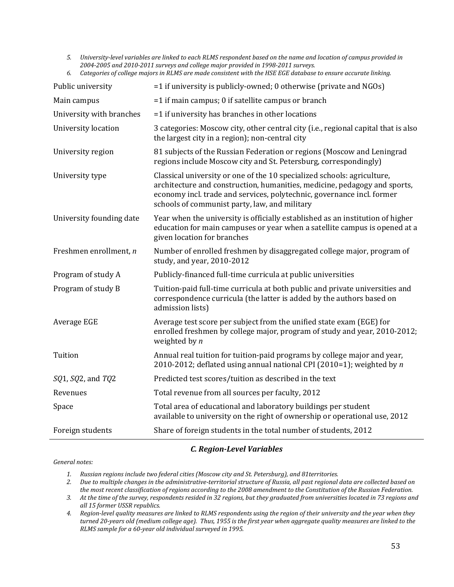5. University-level variables are linked to each RLMS respondent based on the name and location of campus provided in *2004‐2005 and 2010‐2011 surveys and college major provided in 1998‐2011 surveys.* 6. Categories of college majors in RLMS are made consistent with the HSE EGE database to ensure accurate linking.

| Public university        | =1 if university is publicly-owned; 0 otherwise (private and NGOs)                                                                                                                                                                                                              |
|--------------------------|---------------------------------------------------------------------------------------------------------------------------------------------------------------------------------------------------------------------------------------------------------------------------------|
| Main campus              | =1 if main campus; 0 if satellite campus or branch                                                                                                                                                                                                                              |
| University with branches | =1 if university has branches in other locations                                                                                                                                                                                                                                |
| University location      | 3 categories: Moscow city, other central city (i.e., regional capital that is also<br>the largest city in a region); non-central city                                                                                                                                           |
| University region        | 81 subjects of the Russian Federation or regions (Moscow and Leningrad<br>regions include Moscow city and St. Petersburg, correspondingly)                                                                                                                                      |
| University type          | Classical university or one of the 10 specialized schools: agriculture,<br>architecture and construction, humanities, medicine, pedagogy and sports,<br>economy incl. trade and services, polytechnic, governance incl. former<br>schools of communist party, law, and military |
| University founding date | Year when the university is officially established as an institution of higher<br>education for main campuses or year when a satellite campus is opened at a<br>given location for branches                                                                                     |
| Freshmen enrollment, n   | Number of enrolled freshmen by disaggregated college major, program of<br>study, and year, 2010-2012                                                                                                                                                                            |
| Program of study A       | Publicly-financed full-time curricula at public universities                                                                                                                                                                                                                    |
| Program of study B       | Tuition-paid full-time curricula at both public and private universities and<br>correspondence curricula (the latter is added by the authors based on<br>admission lists)                                                                                                       |
| Average EGE              | Average test score per subject from the unified state exam (EGE) for<br>enrolled freshmen by college major, program of study and year, 2010-2012;<br>weighted by $n$                                                                                                            |
| Tuition                  | Annual real tuition for tuition-paid programs by college major and year,<br>2010-2012; deflated using annual national CPI (2010=1); weighted by n                                                                                                                               |
| SQ1, SQ2, and TQ2        | Predicted test scores/tuition as described in the text                                                                                                                                                                                                                          |
| Revenues                 | Total revenue from all sources per faculty, 2012                                                                                                                                                                                                                                |
| Space                    | Total area of educational and laboratory buildings per student<br>available to university on the right of ownership or operational use, 2012                                                                                                                                    |
| Foreign students         | Share of foreign students in the total number of students, 2012                                                                                                                                                                                                                 |
|                          |                                                                                                                                                                                                                                                                                 |

#### *C. Region‐Level Variables*

*General notes:*

- *1. Russian regions include two federal cities (Moscow city and St. Petersburg), and 81territories.*
- 2. Due to multiple changes in the administrative-territorial structure of Russia, all past regional data are collected based on the most recent classification of regions according to the 2008 amendment to the Constitution of the Russian Federation.
- 3. At the time of the survey, respondents resided in 32 regions, but they graduated from universities located in 73 regions and *all 15 former USSR republics.*
- 4. Region-level quality measures are linked to RLMS respondents using the region of their university and the year when they turned 20-years old (medium college age). Thus, 1955 is the first year when aggregate quality measures are linked to the *RLMS sample for a 60‐year old individual surveyed in 1995.*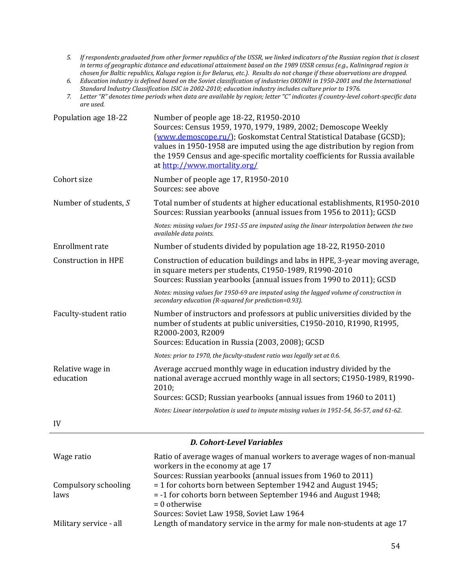- 5. If respondents graduated from other former republics of the USSR, we linked indicators of the Russian region that is closest in terms of geographic distance and educational attainment based on the 1989 USSR census (e.g., Kaliningrad region is chosen for Baltic republics, Kaluga region is for Belarus, etc.). Results do not change if these observations are dropped.
- 6. Education industry is defined based on the Soviet classification of industries OKONH in 1950-2001 and the International *Standard Industry Classification ISIC in 2002‐2010; education industry includes culture prior to 1976.*
- 7. Letter "R" denotes time periods when data are available by region; letter "C" indicates if country-level cohort-specific data *are used.*

| Population age 18-22          | Number of people age 18-22, R1950-2010<br>Sources: Census 1959, 1970, 1979, 1989, 2002; Demoscope Weekly<br>(www.demoscope.ru/); Goskomstat Central Statistical Database (GCSD);<br>values in 1950-1958 are imputed using the age distribution by region from<br>the 1959 Census and age-specific mortality coefficients for Russia available<br>at http://www.mortality.org/ |  |  |  |
|-------------------------------|-------------------------------------------------------------------------------------------------------------------------------------------------------------------------------------------------------------------------------------------------------------------------------------------------------------------------------------------------------------------------------|--|--|--|
| Cohort size                   | Number of people age 17, R1950-2010<br>Sources: see above                                                                                                                                                                                                                                                                                                                     |  |  |  |
| Number of students, S         | Total number of students at higher educational establishments, R1950-2010<br>Sources: Russian yearbooks (annual issues from 1956 to 2011); GCSD                                                                                                                                                                                                                               |  |  |  |
|                               | Notes: missing values for 1951-55 are imputed using the linear interpolation between the two<br>available data points.                                                                                                                                                                                                                                                        |  |  |  |
| Enrollment rate               | Number of students divided by population age 18-22, R1950-2010                                                                                                                                                                                                                                                                                                                |  |  |  |
| <b>Construction in HPE</b>    | Construction of education buildings and labs in HPE, 3-year moving average,<br>in square meters per students, C1950-1989, R1990-2010<br>Sources: Russian yearbooks (annual issues from 1990 to 2011); GCSD                                                                                                                                                                    |  |  |  |
|                               | Notes: missing values for 1950-69 are imputed using the lagged volume of construction in<br>secondary education (R-squared for prediction=0.93).                                                                                                                                                                                                                              |  |  |  |
| Faculty-student ratio         | Number of instructors and professors at public universities divided by the<br>number of students at public universities, C1950-2010, R1990, R1995,<br>R2000-2003, R2009<br>Sources: Education in Russia (2003, 2008); GCSD                                                                                                                                                    |  |  |  |
|                               | Notes: prior to 1970, the faculty-student ratio was legally set at 0.6.                                                                                                                                                                                                                                                                                                       |  |  |  |
| Relative wage in<br>education | Average accrued monthly wage in education industry divided by the<br>national average accrued monthly wage in all sectors; C1950-1989, R1990-<br>2010:                                                                                                                                                                                                                        |  |  |  |
|                               | Sources: GCSD; Russian yearbooks (annual issues from 1960 to 2011)                                                                                                                                                                                                                                                                                                            |  |  |  |
|                               | Notes: Linear interpolation is used to impute missing values in 1951-54, 56-57, and 61-62.                                                                                                                                                                                                                                                                                    |  |  |  |
| IV                            |                                                                                                                                                                                                                                                                                                                                                                               |  |  |  |
|                               |                                                                                                                                                                                                                                                                                                                                                                               |  |  |  |

### *D. Cohort‐Level Variables*

| Wage ratio             | Ratio of average wages of manual workers to average wages of non-manual |
|------------------------|-------------------------------------------------------------------------|
|                        | workers in the economy at age 17                                        |
|                        | Sources: Russian yearbooks (annual issues from 1960 to 2011)            |
| Compulsory schooling   | $=$ 1 for cohorts born between September 1942 and August 1945;          |
| laws                   | = -1 for cohorts born between September 1946 and August 1948;           |
|                        | $= 0$ otherwise                                                         |
|                        | Sources: Soviet Law 1958, Soviet Law 1964                               |
| Military service - all | Length of mandatory service in the army for male non-students at age 17 |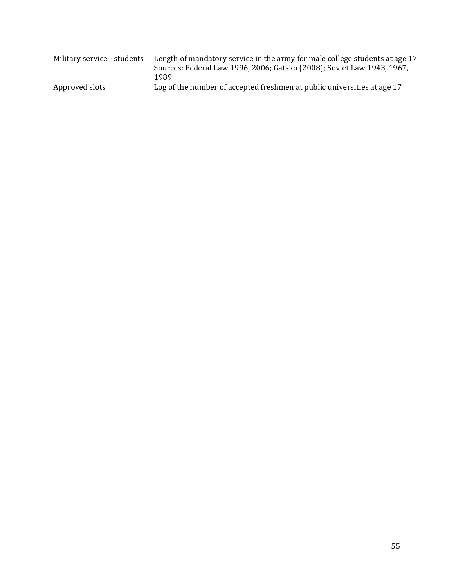| Military service - students | Length of mandatory service in the army for male college students at age 17<br>Sources: Federal Law 1996, 2006; Gatsko (2008); Soviet Law 1943, 1967,<br>1989 |  |  |  |
|-----------------------------|---------------------------------------------------------------------------------------------------------------------------------------------------------------|--|--|--|
| Approved slots              | Log of the number of accepted freshmen at public universities at age 17                                                                                       |  |  |  |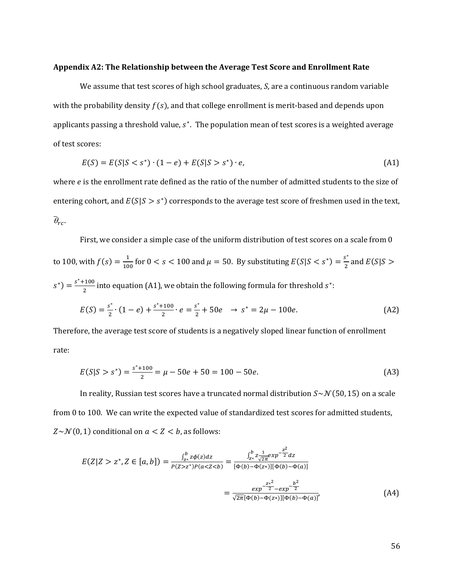#### **Appendix A2: The Relationship between the Average Test Score and Enrollment Rate**

We assume that test scores of high school graduates, *S*, are a continuous random variable with the probability density  $f(s)$ , and that college enrollment is merit-based and depends upon applicants passing a threshold value,  $s<sup>*</sup>$ . The population mean of test scores is a weighted average of test scores:

$$
E(S) = E(S|S < s^*) \cdot (1 - e) + E(S|S > s^*) \cdot e,\tag{A1}
$$

where  $e$  is the enrollment rate defined as the ratio of the number of admitted students to the size of entering cohort, and  $E(S|S > s<sup>*</sup>)$  corresponds to the average test score of freshmen used in the text,  $\bar{\theta}_{rc}.$ 

First, we consider a simple case of the uniform distribution of test scores on a scale from 0 to 100, with  $f(s) = \frac{1}{100}$  for  $0 < s < 100$  and  $\mu = 50$ . By substituting  $E(S|S < s^*) = \frac{s^*}{2}$  and  $E(S|S >$  $s^*$ ) =  $\frac{s^*+100}{2}$  into equation (A1), we obtain the following formula for threshold  $s^*$ :

$$
E(S) = \frac{s^*}{2} \cdot (1 - e) + \frac{s^* + 100}{2} \cdot e = \frac{s^*}{2} + 50e \rightarrow s^* = 2\mu - 100e. \tag{A2}
$$

Therefore, the average test score of students is a negatively sloped linear function of enrollment rate: 

$$
E(S|S > s^*) = \frac{s^* + 100}{2} = \mu - 50e + 50 = 100 - 50e.
$$
 (A3)

In reality, Russian test scores have a truncated normal distribution  $S~\sim N(50, 15)$  on a scale from 0 to 100. We can write the expected value of standardized test scores for admitted students,  $Z \sim \mathcal{N}(0, 1)$  conditional on  $a < Z < b$ , as follows:

$$
E(Z|Z > z^*, Z \in [a, b]) = \frac{\int_{z^*}^b z \phi(z) dz}{P(Z > z^*) P(a < Z < b)} = \frac{\int_{z^*}^b z \frac{1}{\sqrt{2\pi}} exp^{-\frac{z^2}{2}} dz}{[\Phi(b) - \Phi(z^*)][\Phi(b) - \Phi(a)]}
$$
\n
$$
= \frac{exp^{-\frac{z^*^2}{2}} - exp^{-\frac{b^2}{2}}}{\sqrt{2\pi}[\Phi(b) - \Phi(z^*)][\Phi(b) - \Phi(a)]},\tag{A4}
$$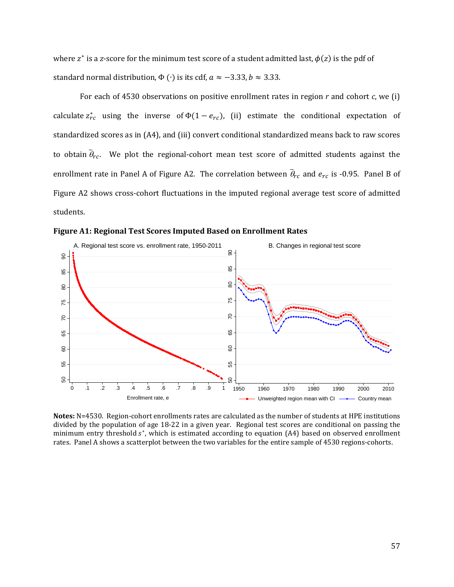where  $z^*$  is a z-score for the minimum test score of a student admitted last,  $\phi(z)$  is the pdf of standard normal distribution,  $\Phi(\cdot)$  is its cdf,  $a \approx -3.33$ ,  $b \approx 3.33$ .

For each of 4530 observations on positive enrollment rates in region *r* and cohort *c*, we (i) calculate  $z_{rc}^{*}$  using the inverse of  $\Phi(1 - e_{rc})$ , (ii) estimate the conditional expectation of standardized scores as in (A4), and (iii) convert conditional standardized means back to raw scores to obtain  $\bar{\theta}_{rc}$ . We plot the regional-cohort mean test score of admitted students against the enrollment rate in Panel A of Figure A2. The correlation between  $\bar{\theta}_{rc}$  and  $e_{rc}$  is -0.95. Panel B of Figure A2 shows cross-cohort fluctuations in the imputed regional average test score of admitted students. 





Notes: N=4530. Region-cohort enrollments rates are calculated as the number of students at HPE institutions divided by the population of age 18-22 in a given year. Regional test scores are conditional on passing the minimum entry threshold  $s<sup>*</sup>$ , which is estimated according to equation (A4) based on observed enrollment rates. Panel A shows a scatterplot between the two variables for the entire sample of 4530 regions-cohorts.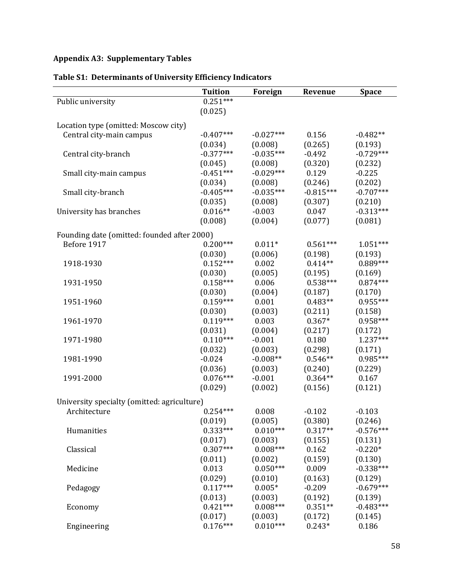# **Appendix A3: Supplementary Tables**

|                                             | <b>Tuition</b><br>$0.251***$ | Foreign     | Revenue     | <b>Space</b> |
|---------------------------------------------|------------------------------|-------------|-------------|--------------|
| Public university                           |                              |             |             |              |
|                                             | (0.025)                      |             |             |              |
| Location type (omitted: Moscow city)        |                              |             |             |              |
| Central city-main campus                    | $-0.407***$                  | $-0.027***$ | 0.156       | $-0.482**$   |
|                                             | (0.034)                      | (0.008)     | (0.265)     | (0.193)      |
| Central city-branch                         | $-0.377***$                  | $-0.035***$ | $-0.492$    | $-0.729***$  |
|                                             | (0.045)                      | (0.008)     | (0.320)     | (0.232)      |
| Small city-main campus                      | $-0.451***$                  | $-0.029***$ | 0.129       | $-0.225$     |
|                                             | (0.034)                      | (0.008)     | (0.246)     | (0.202)      |
| Small city-branch                           | $-0.405***$                  | $-0.035***$ | $-0.815***$ | $-0.707***$  |
|                                             | (0.035)                      | (0.008)     | (0.307)     | (0.210)      |
| University has branches                     | $0.016**$                    | $-0.003$    | 0.047       | $-0.313***$  |
|                                             | (0.008)                      | (0.004)     | (0.077)     | (0.081)      |
|                                             |                              |             |             |              |
| Founding date (omitted: founded after 2000) |                              |             |             |              |
| Before 1917                                 | $0.200***$                   | $0.011*$    | $0.561***$  | $1.051***$   |
|                                             | (0.030)                      | (0.006)     | (0.198)     | (0.193)      |
| 1918-1930                                   | $0.152***$                   | 0.002       | $0.414**$   | $0.889***$   |
|                                             | (0.030)                      | (0.005)     | (0.195)     | (0.169)      |
| 1931-1950                                   | $0.158***$                   | 0.006       | $0.538***$  | $0.874***$   |
|                                             | (0.030)                      | (0.004)     | (0.187)     | (0.170)      |
| 1951-1960                                   | $0.159***$                   | 0.001       | $0.483**$   | $0.955***$   |
|                                             | (0.030)                      | (0.003)     | (0.211)     | (0.158)      |
| 1961-1970                                   | $0.119***$                   | 0.003       | $0.367*$    | $0.958***$   |
|                                             | (0.031)                      | (0.004)     | (0.217)     | (0.172)      |
| 1971-1980                                   | $0.110***$                   | $-0.001$    | 0.180       | $1.237***$   |
|                                             | (0.032)                      | (0.003)     | (0.298)     | (0.171)      |
| 1981-1990                                   | $-0.024$                     | $-0.008**$  | $0.546**$   | $0.985***$   |
|                                             | (0.036)                      | (0.003)     | (0.240)     | (0.229)      |
| 1991-2000                                   | $0.076***$                   | $-0.001$    | $0.364**$   | 0.167        |
|                                             | (0.029)                      | (0.002)     | (0.156)     | (0.121)      |
| University specialty (omitted: agriculture) |                              |             |             |              |
| Architecture                                | $0.254***$                   | 0.008       | $-0.102$    | $-0.103$     |
|                                             | (0.019)                      | (0.005)     | (0.380)     | (0.246)      |
|                                             | $0.333***$                   | $0.010***$  | $0.317**$   | $-0.576***$  |
| Humanities                                  |                              |             |             |              |
|                                             | (0.017)                      | (0.003)     | (0.155)     | (0.131)      |
| Classical                                   | $0.307***$                   | $0.008***$  | 0.162       | $-0.220*$    |
|                                             | (0.011)                      | (0.002)     | (0.159)     | (0.130)      |
| Medicine                                    | 0.013                        | $0.050***$  | 0.009       | $-0.338***$  |
|                                             | (0.029)                      | (0.010)     | (0.163)     | (0.129)      |
| Pedagogy                                    | $0.117***$                   | $0.005*$    | $-0.209$    | $-0.679***$  |
|                                             | (0.013)                      | (0.003)     | (0.192)     | (0.139)      |
| Economy                                     | $0.421***$                   | $0.008***$  | $0.351**$   | $-0.483***$  |
|                                             | (0.017)                      | (0.003)     | (0.172)     | (0.145)      |
| Engineering                                 | $0.176***$                   | $0.010***$  | $0.243*$    | 0.186        |

# **Table S1: Determinants of University Efficiency Indicators**